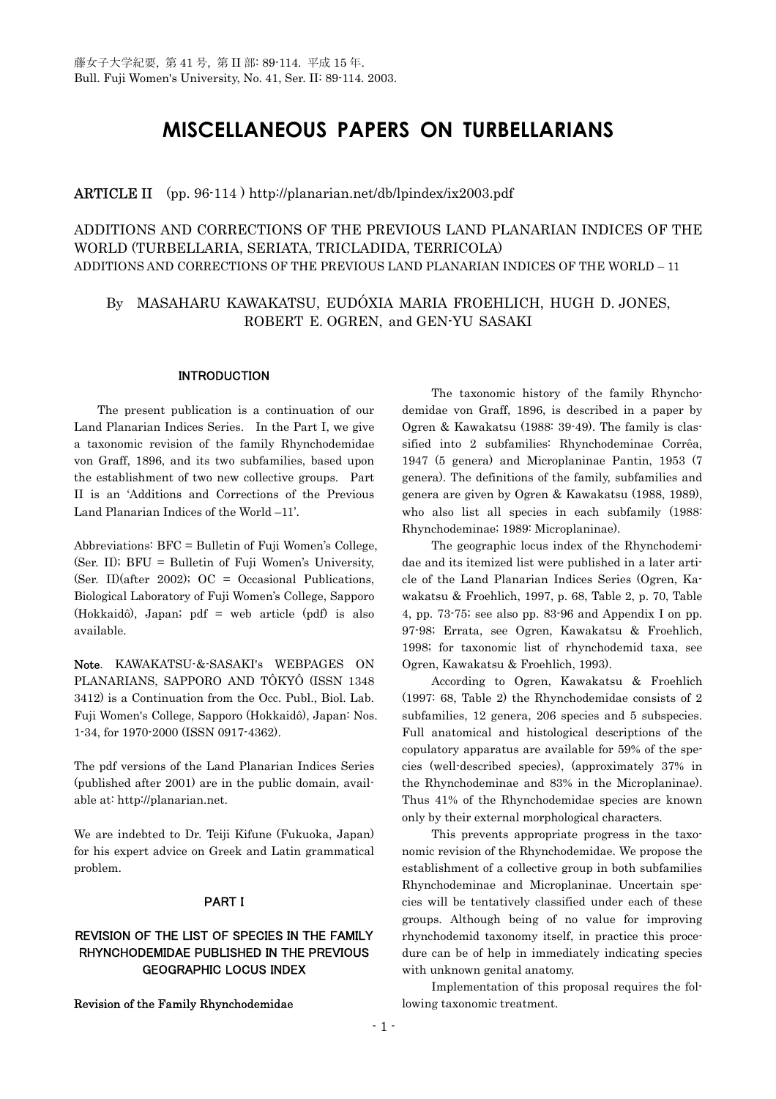# **MISCELLANEOUS PAPERS ON TURBELLARIANS**

# ARTICLE II (pp. 96-114 ) http://planarian.net/db/lpindex/ix2003.pdf

ADDITIONS AND CORRECTIONS OF THE PREVIOUS LAND PLANARIAN INDICES OF THE WORLD (TURBELLARIA, SERIATA, TRICLADIDA, TERRICOLA) ADDITIONS AND CORRECTIONS OF THE PREVIOUS LAND PLANARIAN INDICES OF THE WORLD – 11

# By MASAHARU KAWAKATSU, EUDÓXIA MARIA FROEHLICH, HUGH D. JONES, ROBERT E. OGREN, and GEN-YU SASAKI

#### INTRODUCTION

 The present publication is a continuation of our Land Planarian Indices Series. In the Part I, we give a taxonomic revision of the family Rhynchodemidae von Graff, 1896, and its two subfamilies, based upon the establishment of two new collective groups. Part II is an 'Additions and Corrections of the Previous Land Planarian Indices of the World –11'.

Abbreviations: BFC = Bulletin of Fuji Women's College, (Ser. II); BFU = Bulletin of Fuji Women's University, (Ser. II)(after 2002); OC = Occasional Publications, Biological Laboratory of Fuji Women's College, Sapporo (Hokkaidô), Japan; pdf = web article (pdf) is also available.

Note. KAWAKATSU-&-SASAKI's WEBPAGES ON PLANARIANS, SAPPORO AND TÔKYÔ (ISSN 1348 3412) is a Continuation from the Occ. Publ., Biol. Lab. Fuji Women's College, Sapporo (Hokkaidô), Japan: Nos. 1-34, for 1970-2000 (ISSN 0917-4362).

The pdf versions of the Land Planarian Indices Series (published after 2001) are in the public domain, available at: http://planarian.net.

We are indebted to Dr. Teiji Kifune (Fukuoka, Japan) for his expert advice on Greek and Latin grammatical problem.

#### PART I

# REVISION OF THE LIST OF SPECIES IN THE FAMILY RHYNCHODEMIDAE PUBLISHED IN THE PREVIOUS GEOGRAPHIC LOCUS INDEX

Revision of the Family Rhynchodemidae

The taxonomic history of the family Rhynchodemidae von Graff, 1896, is described in a paper by Ogren & Kawakatsu (1988: 39-49). The family is classified into 2 subfamilies: Rhynchodeminae Corrêa, 1947 (5 genera) and Microplaninae Pantin, 1953 (7 genera). The definitions of the family, subfamilies and genera are given by Ogren & Kawakatsu (1988, 1989), who also list all species in each subfamily (1988: Rhynchodeminae; 1989: Microplaninae).

 The geographic locus index of the Rhynchodemidae and its itemized list were published in a later article of the Land Planarian Indices Series (Ogren, Kawakatsu & Froehlich, 1997, p. 68, Table 2, p. 70, Table 4, pp. 73-75; see also pp. 83-96 and Appendix I on pp. 97-98; Errata, see Ogren, Kawakatsu & Froehlich, 1998; for taxonomic list of rhynchodemid taxa, see Ogren, Kawakatsu & Froehlich, 1993).

 According to Ogren, Kawakatsu & Froehlich (1997: 68, Table 2) the Rhynchodemidae consists of 2 subfamilies, 12 genera, 206 species and 5 subspecies. Full anatomical and histological descriptions of the copulatory apparatus are available for 59% of the species (well-described species), (approximately 37% in the Rhynchodeminae and 83% in the Microplaninae). Thus 41% of the Rhynchodemidae species are known only by their external morphological characters.

 This prevents appropriate progress in the taxonomic revision of the Rhynchodemidae. We propose the establishment of a collective group in both subfamilies Rhynchodeminae and Microplaninae. Uncertain species will be tentatively classified under each of these groups. Although being of no value for improving rhynchodemid taxonomy itself, in practice this procedure can be of help in immediately indicating species with unknown genital anatomy.

Implementation of this proposal requires the following taxonomic treatment.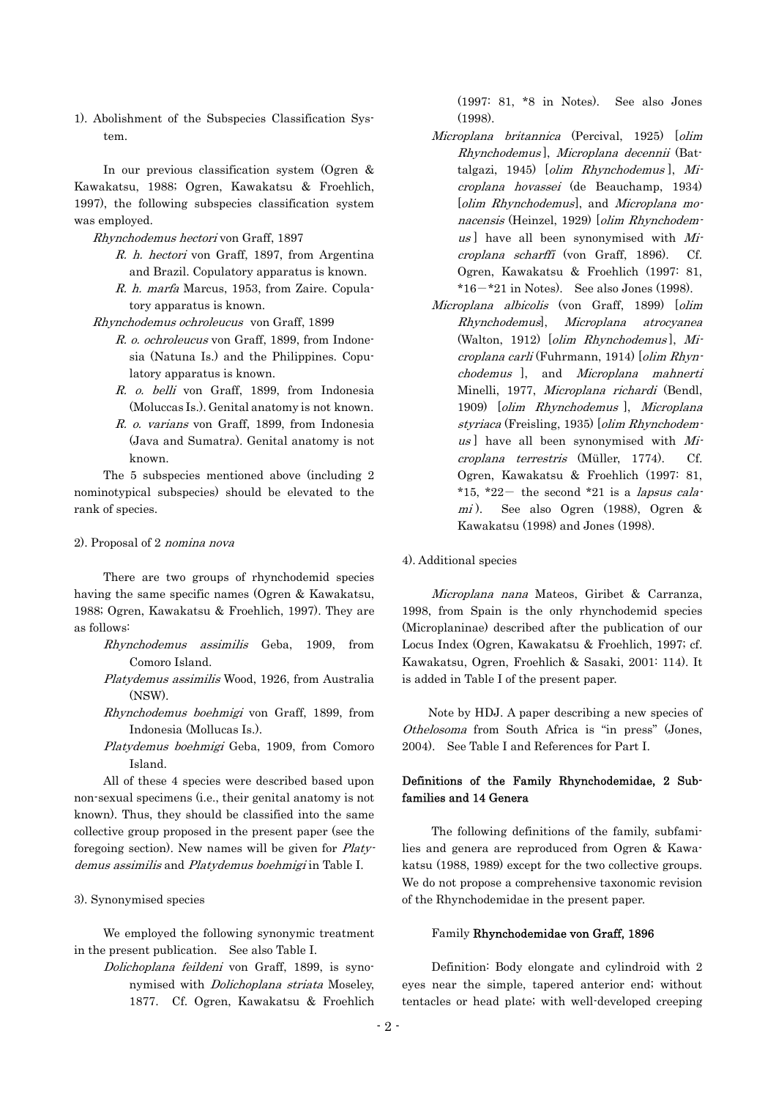1). Abolishment of the Subspecies Classification System.

In our previous classification system (Ogren & Kawakatsu, 1988; Ogren, Kawakatsu & Froehlich, 1997), the following subspecies classification system was employed.

#### Rhynchodemus hectori von Graff, 1897

- R. h. hectori von Graff, 1897, from Argentina and Brazil. Copulatory apparatus is known.
- R. h. marfa Marcus, 1953, from Zaire. Copulatory apparatus is known.
- Rhynchodemus ochroleucus von Graff, 1899
	- R. o. ochroleucus von Graff, 1899, from Indonesia (Natuna Is.) and the Philippines. Copulatory apparatus is known.
	- R. o. belli von Graff, 1899, from Indonesia (Moluccas Is.). Genital anatomy is not known.
	- R. o. varians von Graff, 1899, from Indonesia (Java and Sumatra). Genital anatomy is not known.

The 5 subspecies mentioned above (including 2 nominotypical subspecies) should be elevated to the rank of species.

#### 2). Proposal of 2 nomina nova

There are two groups of rhynchodemid species having the same specific names (Ogren & Kawakatsu, 1988; Ogren, Kawakatsu & Froehlich, 1997). They are as follows:

- Rhynchodemus assimilis Geba, 1909, from Comoro Island.
- Platydemus assimilis Wood, 1926, from Australia (NSW).
- Rhynchodemus boehmigi von Graff, 1899, from Indonesia (Mollucas Is.).
- Platydemus boehmigi Geba, 1909, from Comoro Island.

demus assimilis and Platydemus boehmigi in Table I. All of these 4 species were described based upon non-sexual specimens (i.e., their genital anatomy is not known). Thus, they should be classified into the same collective group proposed in the present paper (see the foregoing section). New names will be given for Platy-

#### 3). Synonymised species

 We employed the following synonymic treatment in the present publication. See also Table I.

Dolichoplana feildeni von Graff, 1899, is synonymised with Dolichoplana striata Moseley, 1877. Cf. Ogren, Kawakatsu & Froehlich (1997: 81, \*8 in Notes). See also Jones (1998).

- Microplana britannica (Percival, 1925) [olim Rhynchodemus], Microplana decennii (Batcr oplana hovassei (de Beauchamp, 1934) cr oplana scharffi (von Graff, 1896). Cf. talgazi, 1945) [olim Rhynchodemus ], Mi-[olim Rhynchodemus], and Microplana monacensis (Heinzel, 1929) [olim Rhynchodemus ] have all been synonymised with  $Mi$ Ogren, Kawakatsu & Froehlich (1997: 81,  $*16-*21$  in Notes). See also Jones (1998).
- Microplana albicolis (von Graff, 1899) [olim atrocyanea croplana terrestris (Müller, 1774). Cf. Rhynchodemus], Microplana (Walton, 1912) [olim Rhynchodemus ], Microplana carli (Fuhrmann, 1914) [olim Rhynchodemus ], and Microplana mahnerti Minelli, 1977, Microplana richardi (Bendl, 1909) [olim Rhynchodemus ], Microplana styriaca (Freisling, 1935) [olim Rhynchodem $us$ ] have all been synonymised with  $Mi$ Ogren, Kawakatsu & Froehlich (1997: 81, \*15, \*22- the second \*21 is a *lapsus cala*mi). See also Ogren (1988), Ogren & Kawakatsu (1998) and Jones (1998).

#### 4). Additional species

Microplana nana Mateos, Giribet & Carranza, 1998, from Spain is the only rhynchodemid species (Microplaninae) described after the publication of our Locus Index (Ogren, Kawakatsu & Froehlich, 1997; cf. Kawakatsu, Ogren, Froehlich & Sasaki, 2001: 114). It is added in Table I of the present paper.

Note by HDJ. A paper describing a new species of Othelosoma from South Africa is "in press" (Jones, 2004). See Table I and References for Part I.

# Definitions of the Family Rhynchodemidae, 2 Subfamilies and 14 Genera

 The following definitions of the family, subfamilies and genera are reproduced from Ogren & Kawakatsu (1988, 1989) except for the two collective groups. We do not propose a comprehensive taxonomic revision of the Rhynchodemidae in the present paper.

#### Family Rhynchodemidae von Graff, 1896

Definition: Body elongate and cylindroid with 2 eyes near the simple, tapered anterior end; without tentacles or head plate; with well-developed creeping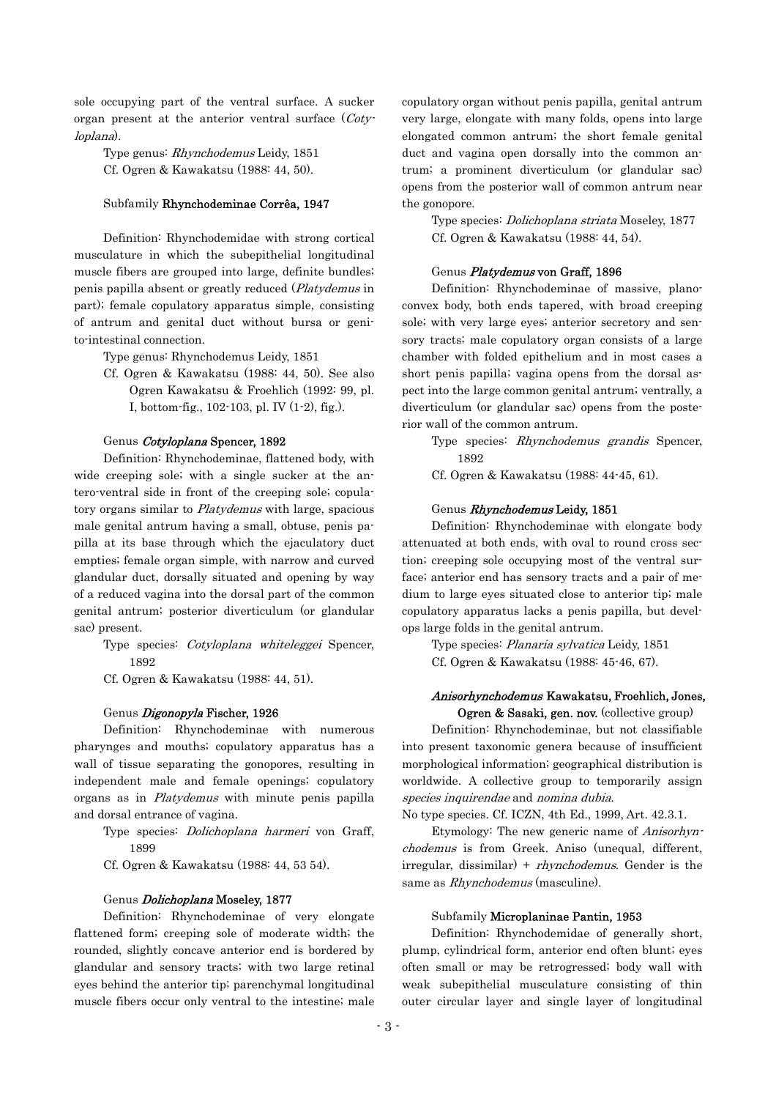sole occupying part of the ventral surface. A sucker organ present at the anterior ventral surface (Cotyloplana).

Type genus: Rhynchodemus Leidy, 1851 Cf. Ogren & Kawakatsu (1988: 44, 50).

#### Subfamily Rhynchodeminae Corrêa, 1947

Definition: Rhynchodemidae with strong cortical musculature in which the subepithelial longitudinal muscle fibers are grouped into large, definite bundles; penis papilla absent or greatly reduced (Platydemus in part); female copulatory apparatus simple, consisting of antrum and genital duct without bursa or genito-intestinal connection.

Type genus: Rhynchodemus Leidy, 1851

Cf. Ogren & Kawakatsu (1988: 44, 50). See also Ogren Kawakatsu & Froehlich (1992: 99, pl. I, bottom-fig., 102-103, pl. IV (1-2), fig.).

#### Genus Cotyloplana Spencer, 1892

Definition: Rhynchodeminae, flattened body, with wide creeping sole; with a single sucker at the antero-ventral side in front of the creeping sole; copulatory organs similar to Platydemus with large, spacious male genital antrum having a small, obtuse, penis papilla at its base through which the ejaculatory duct empties; female organ simple, with narrow and curved glandular duct, dorsally situated and opening by way of a reduced vagina into the dorsal part of the common genital antrum; posterior diverticulum (or glandular sac) present.

Type species: Cotyloplana whiteleggei Spencer, 1892

Cf. Ogren & Kawakatsu (1988: 44, 51).

#### Genus *Digonopyla* Fischer, 1926

Definition: Rhynchodeminae with numerous pharynges and mouths; copulatory apparatus has a wall of tissue separating the gonopores, resulting in independent male and female openings; copulatory organs as in Platydemus with minute penis papilla and dorsal entrance of vagina.

Type species: *Dolichoplana harmeri* von Graff, 1899

Cf. Ogren & Kawakatsu (1988: 44, 53 54).

#### Genus *Dolichoplana* Moseley, 1877

Definition: Rhynchodeminae of very elongate flattened form; creeping sole of moderate width; the rounded, slightly concave anterior end is bordered by glandular and sensory tracts; with two large retinal eyes behind the anterior tip; parenchymal longitudinal muscle fibers occur only ventral to the intestine; male

copulatory organ without penis papilla, genital antrum very large, elongate with many folds, opens into large elongated common antrum; the short female genital duct and vagina open dorsally into the common antrum; a prominent diverticulum (or glandular sac) opens from the posterior wall of common antrum near the gonopore.

Type species: *Dolichoplana striata* Moseley, 1877 Cf. Ogren & Kawakatsu (1988: 44, 54).

#### Genus *Platydemus* **von Graff, 1896**

Definition: Rhynchodeminae of massive, planoconvex body, both ends tapered, with broad creeping sole; with very large eyes; anterior secretory and sensory tracts; male copulatory organ consists of a large chamber with folded epithelium and in most cases a short penis papilla; vagina opens from the dorsal aspect into the large common genital antrum; ventrally, a diverticulum (or glandular sac) opens from the posterior wall of the common antrum.

Type species: Rhynchodemus grandis Spencer, 1892

Cf. Ogren & Kawakatsu (1988: 44-45, 61).

#### Genus Rhynchodemus Leidy, 1851

Definition: Rhynchodeminae with elongate body attenuated at both ends, with oval to round cross section; creeping sole occupying most of the ventral surface; anterior end has sensory tracts and a pair of medium to large eyes situated close to anterior tip; male copulatory apparatus lacks a penis papilla, but develops large folds in the genital antrum.

Type species: Planaria sylvatica Leidy, 1851 Cf. Ogren & Kawakatsu (1988: 45-46, 67).

# Anisorhynchodemus Kawakatsu, Froehlich, Jones,

Ogren & Sasaki, gen. nov. (collective group) Definition: Rhynchodeminae, but not classifiable into present taxonomic genera because of insufficient morphological information; geographical distribution is worldwide. A collective group to temporarily assign species inquirendae and nomina dubia.

No type species. Cf. ICZN, 4th Ed., 1999, Art. 42.3.1.

Etymology: The new generic name of Anisorhynchodemus is from Greek. Aniso (unequal, different, irregular, dissimilar) +  $rhynchodemus$ . Gender is the same as *Rhynchodemus* (masculine).

#### Subfamily Microplaninae Pantin, 1953

Definition: Rhynchodemidae of generally short, plump, cylindrical form, anterior end often blunt; eyes often small or may be retrogressed; body wall with weak subepithelial musculature consisting of thin outer circular layer and single layer of longitudinal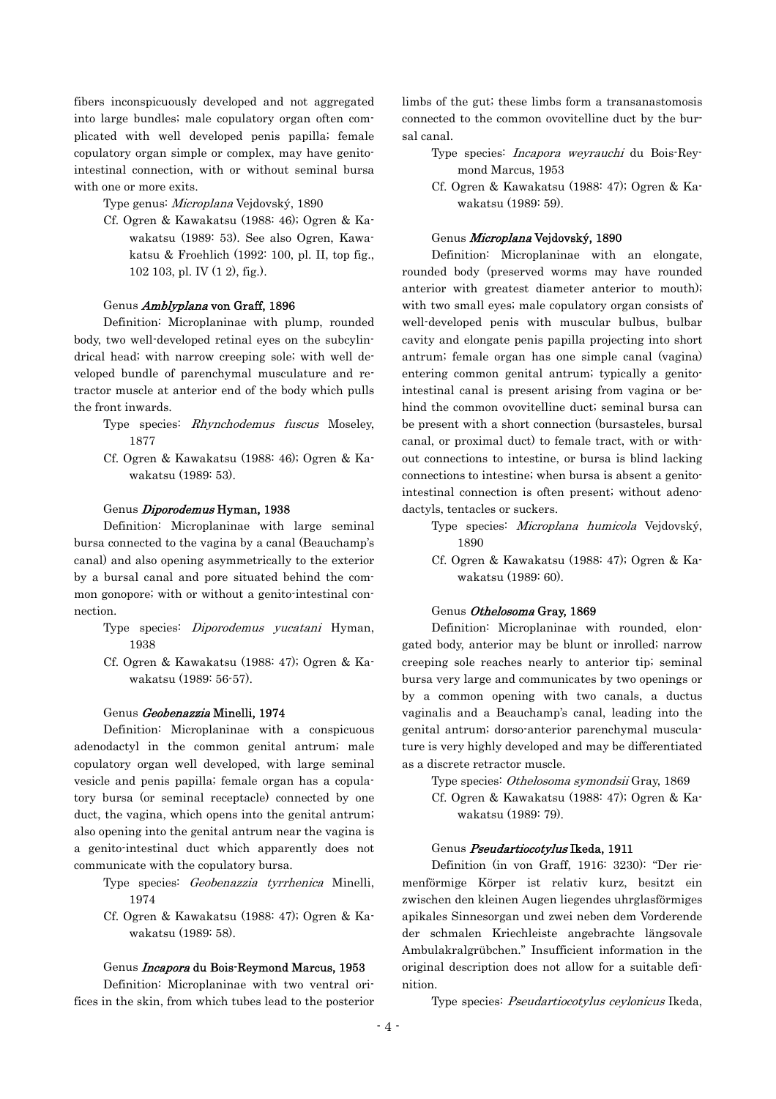fibers inconspicuously developed and not aggregated into large bundles; male copulatory organ often complicated with well developed penis papilla; female copulatory organ simple or complex, may have genitointestinal connection, with or without seminal bursa with one or more exits.

Type genus: Microplana Vejdovský, 1890

Cf. Ogren & Kawakatsu (1988: 46); Ogren & Kawakatsu (1989: 53). See also Ogren, Kawakatsu & Froehlich (1992: 100, pl. II, top fig., 102 103, pl. IV (1 2), fig.).

#### Genus Amblyplana von Graff, 1896

Definition: Microplaninae with plump, rounded body, two well-developed retinal eyes on the subcylindrical head; with narrow creeping sole; with well developed bundle of parenchymal musculature and retractor muscle at anterior end of the body which pulls the front inwards.

- Type species: Rhynchodemus fuscus Moseley, 1877
- Cf. Ogren & Kawakatsu (1988: 46); Ogren & Kawakatsu (1989: 53).

#### Genus Diporodemus Hyman, 1938

Definition: Microplaninae with large seminal bursa connected to the vagina by a canal (Beauchamp's canal) and also opening asymmetrically to the exterior by a bursal canal and pore situated behind the common gonopore; with or without a genito-intestinal connection.

- Type species: *Diporodemus yucatani* Hyman, 1938
- Cf. Ogren & Kawakatsu (1988: 47); Ogren & Kawakatsu (1989: 56-57).

#### Genus Geobenazzia Minelli, 1974

Definition: Microplaninae with a conspicuous adenodactyl in the common genital antrum; male copulatory organ well developed, with large seminal vesicle and penis papilla; female organ has a copulatory bursa (or seminal receptacle) connected by one duct, the vagina, which opens into the genital antrum; also opening into the genital antrum near the vagina is a genito-intestinal duct which apparently does not communicate with the copulatory bursa.

- Type species: Geobenazzia tyrrhenica Minelli, 1974
- Cf. Ogren & Kawakatsu (1988: 47); Ogren & Kawakatsu (1989: 58).

#### Genus Incapora du Bois-Reymond Marcus, 1953

Definition: Microplaninae with two ventral orifices in the skin, from which tubes lead to the posterior

limbs of the gut; these limbs form a transanastomosis connected to the common ovovitelline duct by the bursal canal.

- Type species: *Incapora weyrauchi* du Bois-Reymond Marcus, 1953
- Cf. Ogren & Kawakatsu (1988: 47); Ogren & Kawakatsu (1989: 59).

#### Genus Microplana Vejdovský, 1890

Definition: Microplaninae with an elongate, rounded body (preserved worms may have rounded anterior with greatest diameter anterior to mouth); with two small eyes; male copulatory organ consists of well-developed penis with muscular bulbus, bulbar cavity and elongate penis papilla projecting into short antrum; female organ has one simple canal (vagina) entering common genital antrum; typically a genitointestinal canal is present arising from vagina or behind the common ovovitelline duct; seminal bursa can be present with a short connection (bursasteles, bursal canal, or proximal duct) to female tract, with or without connections to intestine, or bursa is blind lacking connections to intestine; when bursa is absent a genitointestinal connection is often present; without adenodactyls, tentacles or suckers.

- Type species: Microplana humicola Vejdovský, 1890
- Cf. Ogren & Kawakatsu (1988: 47); Ogren & Kawakatsu (1989: 60).

#### Genus Othelosoma Gray, 1869

Definition: Microplaninae with rounded, elongated body, anterior may be blunt or inrolled; narrow creeping sole reaches nearly to anterior tip; seminal bursa very large and communicates by two openings or by a common opening with two canals, a ductus vaginalis and a Beauchamp's canal, leading into the genital antrum; dorso-anterior parenchymal musculature is very highly developed and may be differentiated as a discrete retractor muscle.

Type species: Othelosoma symondsii Gray, 1869

Cf. Ogren & Kawakatsu (1988: 47); Ogren & Kawakatsu (1989: 79).

#### Genus Pseudartiocotylus Ikeda, 1911

Definition (in von Graff, 1916: 3230): "Der riemenförmige Körper ist relativ kurz, besitzt ein zwischen den kleinen Augen liegendes uhrglasförmiges apikales Sinnesorgan und zwei neben dem Vorderende der schmalen Kriechleiste angebrachte längsovale Ambulakralgrübchen." Insufficient information in the original description does not allow for a suitable definition.

Type species: Pseudartiocotylus ceylonicus Ikeda,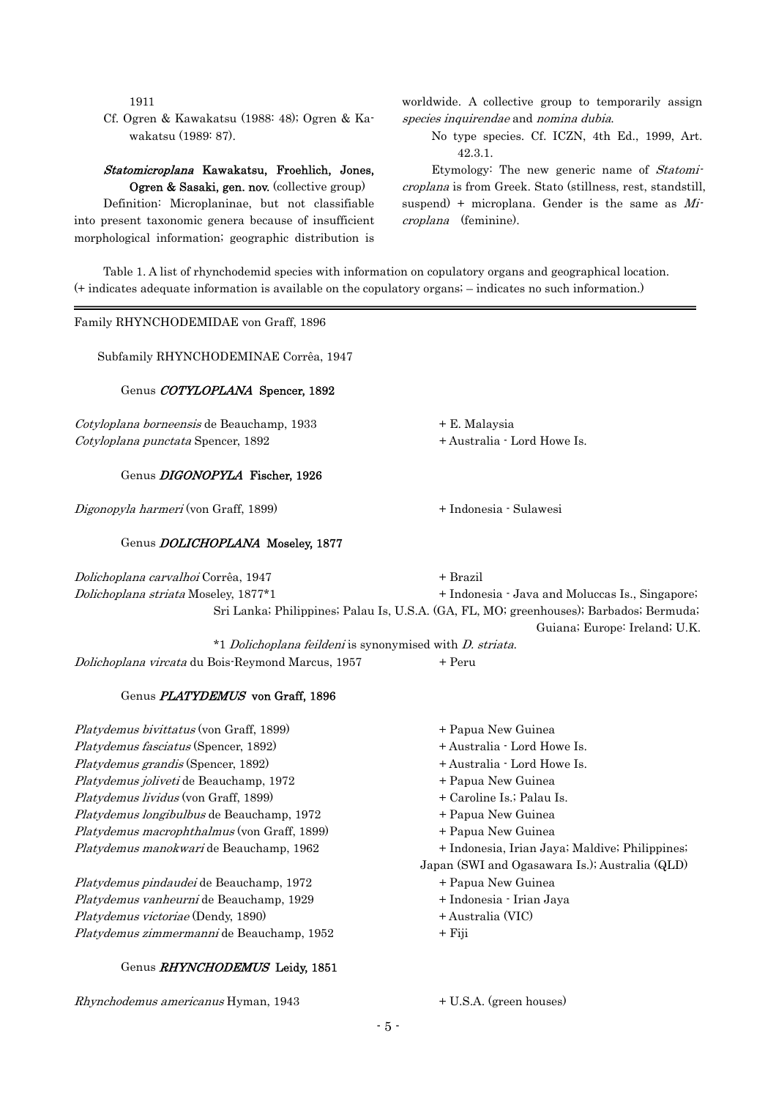1911

:

Cf. Ogren & Kawakatsu (1988: 48); Ogren & Kawakatsu (1989: 87).

# Statomicroplana Kawakatsu, Froehlich, Jones,

Ogren & Sasaki, gen. nov. (collective group) Definition: Microplaninae, but not classifiable into present taxonomic genera because of insufficient morphological information; geographic distribution is

worldwide. A collective group to temporarily assign species inquirendae and nomina dubia.

No type species. Cf. ICZN, 4th Ed., 1999, Art. 42.3.1.

Etymology: The new generic name of Statomicroplana is from Greek. Stato (stillness, rest, standstill, suspend) + microplana. Gender is the same as  $Mi$ croplana (feminine).

Table 1. A list of rhynchodemid species with information on copulatory organs and geographical location. (+ indicates adequate information is available on the copulatory organs; – indicates no such information.)

Family RHYNCHODEMIDAE von Graff, 1896

Subfamily RHYNCHODEMINAE Corrêa, 1947

#### Genus COTYLOPLANA Spencer, 1892

Cotyloplana borneensis de Beauchamp, 1933 + E. Malaysia Cotyloplana punctata Spencer, 1892 + Australia - Lord Howe Is.

#### Genus DIGONOPYLA Fischer, 1926

Digonopyla harmeri (von Graff, 1899)  $+$  Indonesia - Sulawesi

#### Genus **DOLICHOPLANA** Moseley, 1877

Dolichoplana carvalhoi Corrêa, 1947 + Brazil Dolichoplana striata Moseley, 1877\*1  $*1$  *Dolichoplana feildeni* is synonymised with *D. striata*. + Indonesia · Java and Moluccas Is., Singapore; Sri Lanka; Philippines; Palau Is, U.S.A. (GA, FL, MO; greenhouses); Barbados; Bermuda; Guiana; Europe: Ireland; U.K.

Dolichoplana vircata du Bois-Reymond Marcus, 1957  $+$  Peru

#### Genus PLATYDEMUS von Graff, 1896

Platydemus grandis (Spencer, 1892)  $+$  Australia  $\cdot$  Lord Howe Is. Platydemus lividus (von Graff, 1899)  $+$  Caroline Is.; Palau Is. Platydemus longibulbus de Beauchamp, 1972  $+$  Papua New Guinea Platydemus macrophthalmus (von Graff, 1899)  $\qquad \qquad +$  Papua New Guinea Platydemus manokwari de Beauchamp, 1962 Platydemus bivittatus (von Graff, 1899)  $+$  Papua New Guinea Platydemus fasciatus (Spencer, 1892) + Australia - Lord Howe Is. Platydemus joliveti de Beauchamp, 1972 + Papua New Guinea

Platydemus pindaudei de Beauchamp, 1972 **Franklingen Harry America** + Papua New Guinea Platydemus vanheurni de Beauchamp, 1929  $+$  Indonesia - Irian Jaya Platydemus zimmermanni de Beauchamp, 1952 + Fiji Platydemus victoriae (Dendy, 1890) + Australia (VIC)

## Genus RHYNCHODEMUS Leidy, 1851

 $Rhynchodemus americanus Hyman, 1943 + U.S.A. (green houses)$ 

+ Indonesia, Irian Jaya; Maldive; Philippines;

Japan (SWI and Ogasawara Is.); Australia (QLD)

- 
- 
- 
-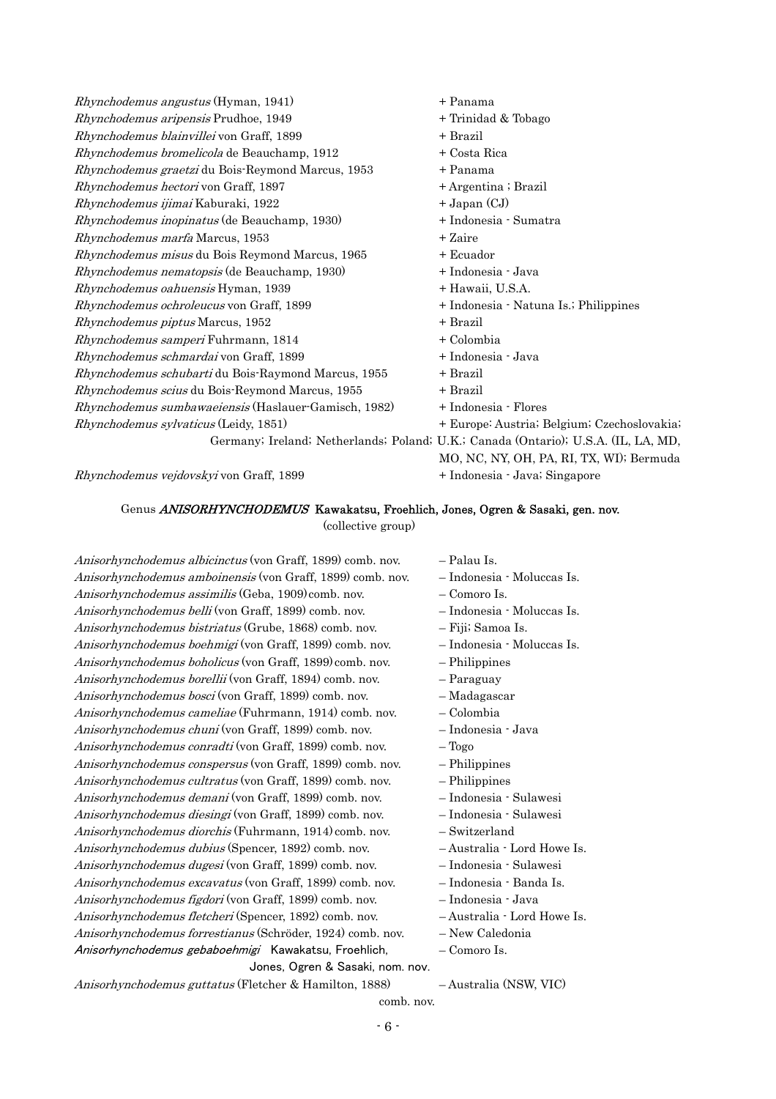$Rhynchodemus angustus$  (Hyman, 1941)  $+$  Panama Rhynchodemus aripensis Prudhoe, 1949 + Trinidad & Tobago  $Rhynchodemus blainvillei$  von Graff, 1899  $+$  Brazil  $Rhynchodemus bromelicola$  de Beauchamp, 1912  $+$  Costa Rica Rhynchodemus graetzi du Bois-Reymond Marcus, 1953 + Panama Rhynchodemus hectori von Graff, 1897 + Argentina ; Brazil  $Rhynchodemus ijimai Kaburaki, 1922 + Japan (CJ)$ Rhynchodemus inopinatus (de Beauchamp, 1930) + Indonesia - Sumatra  $Rhynchodemus$  marfa Marcus, 1953  $+ Zaire$ Rhynchodemus misus du Bois Reymond Marcus, 1965 + Ecuador Rhynchodemus nematopsis (de Beauchamp, 1930) + Indonesia - Java Rhynchodemus oahuensis Hyman, 1939 **+ Hawaii, U.S.A.** Rhynchodemus ochroleucus von Graff, 1899 + Indonesia - Natuna Is.; Philippines  $Rhynchodemus piptus Marcus, 1952 + Brazil$ Rhynchodemus samperi Fuhrmann, 1814 + Colombia Rhynchodemus schmardai von Graff, 1899  $+$  Indonesia - Java  $Rhynchodemus schubarti du Bois-Raymond Marcus, 1955 + Brazil$ Rhynchodemus scius du Bois-Reymond Marcus, 1955 + Brazil Rhynchodemus sumbawaeiensis (Haslauer-Gamisch, 1982) + Indonesia - Flores Rhynchodemus sylvaticus (Leidy, 1851) + Europe: Austria; Belgium; Czechoslovakia; Germany; Ireland; Netherlands; Poland; U.K.; Canada (Ontario); U.S.A. (IL, LA, MD, MO, NC, NY, OH, PA, RI, TX, WI); Bermuda

Rhynchodemus vejdovskyi von Graff, 1899 + Indonesia - Java; Singapore

### Genus ANISORHYNCHODEMUS Kawakatsu, Froehlich, Jones, Ogren & Sasaki, gen. nov.

(collective group)

Anisorhynchodemus albicinctus (von Graff, 1899) comb. nov. – Palau Is. Anisorhynchodemus amboinensis (von Graff, 1899) comb. nov. – Indonesia - Moluccas Is. Anisorhynchodemus assimilis (Geba, 1909)comb. nov. – Comoro Is. Anisorhynchodemus bistriatus (Grube, 1868) comb. nov. Fiji; Samoa Is. Anisorhynchodemus bosci (von Graff, 1899) comb. nov. – Madagascar Anisorhynchodemus forrestianus (Schröder, 1924) comb. nov. – New Caledonia Anisorhynchodemus belli (von Graff, 1899) comb. nov. – Indonesia - Moluccas Is. Anisorhynchodemus boehmigi (von Graff, 1899) comb. nov. – Indonesia - Moluccas Is. Anisorhynchodemus boholicus (von Graff, 1899) comb. nov. – Philippines Anisorhynchodemus borellii (von Graff, 1894) comb. nov. – Paraguay Anisorhynchodemus cameliae (Fuhrmann, 1914) comb. nov. – Colombia Anisorhynchodemus chuni (von Graff, 1899) comb. nov. – Indonesia - Java Anisorhynchodemus conradti (von Graff, 1899) comb. nov. – Togo Anisorhynchodemus conspersus (von Graff, 1899) comb. nov. – Philippines Anisorhynchodemus cultratus (von Graff, 1899) comb. nov. – Philippines Anisorhynchodemus demani (von Graff, 1899) comb. nov. – Indonesia - Sulawesi Anisorhynchodemus diesingi (von Graff, 1899) comb. nov. – Indonesia - Sulawesi Anisorhynchodemus diorchis (Fuhrmann, 1914) comb. nov. – Switzerland Anisorhynchodemus dubius (Spencer, 1892) comb. nov. – Australia - Lord Howe Is. Anisorhynchodemus dugesi (von Graff, 1899) comb. nov. – Indonesia - Sulawesi Anisorhynchodemus excavatus (von Graff, 1899) comb. nov. – Indonesia - Banda Is. Anisorhynchodemus figdori (von Graff, 1899) comb. nov. – Indonesia - Java Anisorhynchodemus fletcheri (Spencer, 1892) comb. nov. – Australia - Lord Howe Is. Anisorhynchodemus gebaboehmigi Kawakatsu, Froehlich,  $-$  Comoro Is. Jones, Ogren & Sasaki, nom. nov.

- 
- 
- 
- 
- 
- 
- 
- 
- 
- 
- 
- 
- 
- 
- 
- 
- 
- 
- 
- 
- 
- 
- 

Anisorhynchodemus guttatus (Fletcher & Hamilton, 1888) – Australia (NSW, VIC)

comb. nov.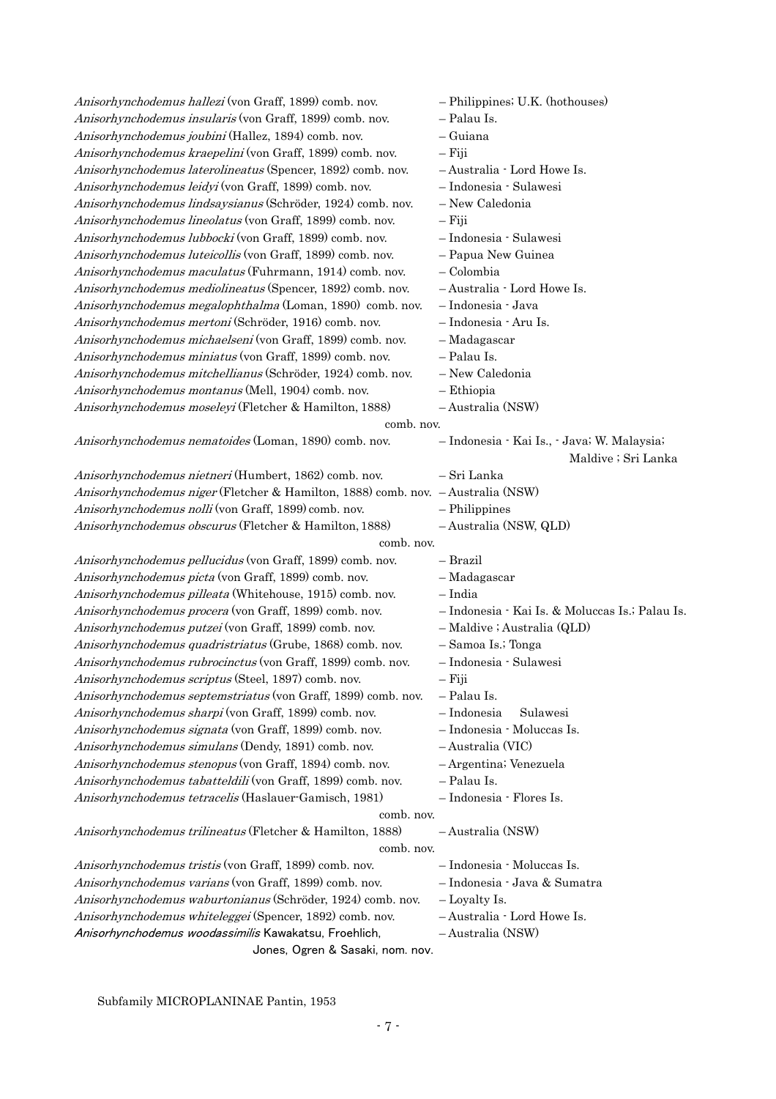| Anisorhynchodemus hallezi (von Graff, 1899) comb. nov.                                    | - Philippines; U.K. (hothouses)                 |
|-------------------------------------------------------------------------------------------|-------------------------------------------------|
| Anisorhynchodemus insularis (von Graff, 1899) comb. nov.                                  | - Palau Is.                                     |
| Anisorhynchodemus joubini (Hallez, 1894) comb. nov.                                       | - Guiana                                        |
| Anisorhynchodemus kraepelini (von Graff, 1899) comb. nov.                                 | $-Fiji$                                         |
| Anisorhynchodemus laterolineatus (Spencer, 1892) comb. nov.                               | - Australia · Lord Howe Is.                     |
| Anisorhynchodemus leidyi (von Graff, 1899) comb. nov.                                     | - Indonesia · Sulawesi                          |
| Anisorhynchodemus lindsaysianus (Schröder, 1924) comb. nov.                               | - New Caledonia                                 |
| Anisorhynchodemus lineolatus (von Graff, 1899) comb. nov.                                 | – Fiji                                          |
| Anisorhynchodemus lubbocki (von Graff, 1899) comb. nov.                                   | - Indonesia · Sulawesi                          |
| Anisorhynchodemus luteicollis (von Graff, 1899) comb. nov.                                | - Papua New Guinea                              |
| Anisorhynchodemus maculatus (Fuhrmann, 1914) comb. nov.                                   | - Colombia                                      |
| Anisorhynchodemus mediolineatus (Spencer, 1892) comb. nov.                                | - Australia · Lord Howe Is.                     |
| Anisorhynchodemus megalophthalma (Loman, 1890) comb. nov.                                 | - Indonesia · Java                              |
| Anisorhynchodemus mertoni (Schröder, 1916) comb. nov.                                     | - Indonesia · Aru Is.                           |
| Anisorhynchodemus michaelseni (von Graff, 1899) comb. nov.                                | - Madagascar                                    |
|                                                                                           | - Palau Is.                                     |
| Anisorhynchodemus miniatus (von Graff, 1899) comb. nov.                                   |                                                 |
| Anisorhynchodemus mitchellianus (Schröder, 1924) comb. nov.                               | - New Caledonia                                 |
| Anisorhynchodemus montanus (Mell, 1904) comb. nov.                                        | - Ethiopia                                      |
| Anisorhynchodemus moseleyi (Fletcher & Hamilton, 1888)                                    | -Australia (NSW)                                |
| comb. nov.                                                                                |                                                 |
| Anisorhynchodemus nematoides (Loman, 1890) comb. nov.                                     | - Indonesia · Kai Is., · Java; W. Malaysia;     |
|                                                                                           | Maldive ; Sri Lanka                             |
| Anisorhynchodemus nietneri (Humbert, 1862) comb. nov.                                     | – Sri Lanka                                     |
| Anisorhynchodemus niger (Fletcher & Hamilton, 1888) comb. nov. - Australia (NSW)          |                                                 |
| Anisorhynchodemus nolli (von Graff, 1899) comb. nov.                                      | - Philippines                                   |
| Anisorhynchodemus obscurus (Fletcher & Hamilton, 1888)                                    | -Australia (NSW, QLD)                           |
| comb. nov.                                                                                |                                                 |
| Anisorhynchodemus pellucidus (von Graff, 1899) comb. nov.                                 | – Brazil                                        |
| Anisorhynchodemus picta (von Graff, 1899) comb. nov.                                      | - Madagascar                                    |
| Anisorhynchodemus pilleata (Whitehouse, 1915) comb. nov.                                  | – India                                         |
| Anisorhynchodemus procera (von Graff, 1899) comb. nov.                                    | - Indonesia · Kai Is. & Moluccas Is.; Palau Is. |
| Anisorhynchodemus putzei (von Graff, 1899) comb. nov.                                     | - Maldive ; Australia (QLD)                     |
| Anisorhynchodemus quadristriatus (Grube, 1868) comb. nov.                                 | - Samoa Is.; Tonga                              |
| Anisorhynchodemus rubrocinctus (von Graff, 1899) comb. nov.                               | - Indonesia · Sulawesi                          |
| Anisorhynchodemus scriptus (Steel, 1897) comb. nov.                                       | – Fiji                                          |
| Anisorhynchodemus septemstriatus (von Graff, 1899) comb. nov.                             | - Palau Is.                                     |
| Anisorhynchodemus sharpi (von Graff, 1899) comb. nov.                                     | $-$ Indonesia<br>Sulawesi                       |
| Anisorhynchodemus signata (von Graff, 1899) comb. nov.                                    | - Indonesia · Moluccas Is.                      |
| Anisorhynchodemus simulans (Dendy, 1891) comb. nov.                                       | -Australia (VIC)                                |
| Anisorhynchodemus stenopus (von Graff, 1894) comb. nov.                                   | - Argentina; Venezuela                          |
| Anisorhynchodemus tabatteldili (von Graff, 1899) comb. nov.                               | - Palau Is.                                     |
| Anisorhynchodemus tetracelis (Haslauer Gamisch, 1981)                                     | - Indonesia · Flores Is.                        |
| comb. nov.                                                                                |                                                 |
| Anisorhynchodemus trilineatus (Fletcher & Hamilton, 1888)                                 | -Australia (NSW)                                |
| comb. nov.                                                                                |                                                 |
| Anisorhynchodemus tristis (von Graff, 1899) comb. nov.                                    | - Indonesia · Moluccas Is.                      |
| Anisorhynchodemus varians (von Graff, 1899) comb. nov.                                    | - Indonesia · Java & Sumatra                    |
|                                                                                           |                                                 |
| Anisorhynchodemus waburtonianus (Schröder, 1924) comb. nov.                               | - Loyalty Is.                                   |
| Anisorhynchodemus whiteleggei (Spencer, 1892) comb. nov.                                  | - Australia · Lord Howe Is.                     |
| Anisorhynchodemus woodassimilis Kawakatsu, Froehlich,<br>Jones, Ogren & Sasaki, nom. nov. | -Australia (NSW)                                |
|                                                                                           |                                                 |

Subfamily MICROPLANINAE Pantin, 1953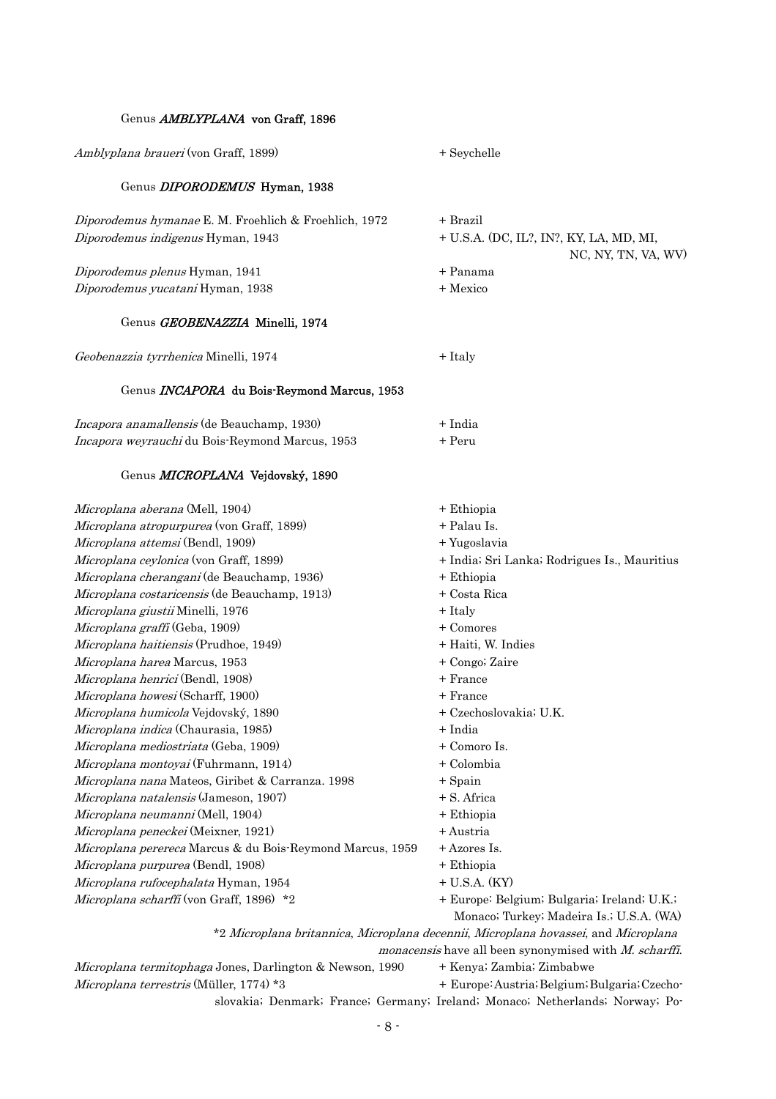#### Genus **AMBLYPLANA** von Graff, 1896

Amblyplana braueri (von Graff, 1899) + Seychelle

#### Genus DIPORODEMUS Hyman, 1938

 $Diporodemus hymanae E. M. Frochlich & Frochlich, 1972 + Brazil$ Diporodemus indigenus Hyman, 1943 + U.S.A. (DC, IL?, IN?, KY, LA, MD, MI,

Diporodemus plenus Hyman, 1941 + Panama Diporodemus yucatani Hyman, 1938 + Mexico

#### Genus GEOBENAZZIA Minelli, 1974

Geobenazzia tyrrhenica Minelli, 1974 + Italy

#### Genus INCAPORA du Bois-Reymond Marcus, 1953

| <i>Incapora anamallensis</i> (de Beauchamp, 1930)      | + India |
|--------------------------------------------------------|---------|
| <i>Incapora weyrauchi</i> du Bois-Reymond Marcus, 1953 | + Peru  |

#### Genus *MICROPLANA* Vejdovský, 1890

*Microplana aberana* (Mell, 1904) + Ethiopia Microplana atropurpurea (von Graff, 1899)  $+$  Palau Is. *Microplana attemsi* (Bendl, 1909) + Yugoslavia *Microplana costaricensis* (de Beauchamp, 1913)  $+$  Costa Rica Microplana giustii Minelli, 1976 **+ Italy** Microplana mediostriata (Geba, 1909)  $+$  Comoro Is. *Microplana montoyai* (Fuhrmann, 1914) + Colombia Microplana natalensis (Jameson, 1907) + S. Africa Microplana rufocephalata Hyman, 1954 **+ U.S.A.** (KY) Microplana scharffi (von Graff, 1896) \*2 \*2 Microplana britannica, Microplana decennii, Microplana hovassei, and Microplana *monacensis* have all been synonymised with *M. scharffi.* Microplana ceylonica (von Graff, 1899) + 1ndia; Sri Lanka; Rodrigues Is., Mauritius Microplana cherangani (de Beauchamp, 1936) + Ethiopia  $Microplane\, grafif$  (Geba, 1909)  $+$  Comores *Microplana haitiensis* (Prudhoe, 1949)  $+$  Haiti, W. Indies Microplana harea Marcus, 1953 + Congo; Zaire Microplana henrici (Bendl, 1908) + France  $Microlana howesi$  (Scharff, 1900)  $+$  France Microplana humicola Vejdovský, 1890 + Czechoslovakia; U.K. Microplana indica (Chaurasia, 1985) + India  $Microlana nana Mateos, Giribet & Carranza. 1998 + Spain$ Microplana neumanni (Mell, 1904) + Ethiopia Microplana peneckei (Meixner, 1921) + Austria *Microplana perereca* Marcus & du Bois-Reymond Marcus,  $1959 + A$ zores Is. Microplana purpurea (Bendl, 1908) + Ethiopia + Europe: Belgium; Bulgaria; Ireland; U.K.; Monaco; Turkey; Madeira Is.; U.S.A. (WA) Microplana termitophaga Jones, Darlington & Newson, 1990 + Kenya; Zambia; Zimbabwe

*Microplana terrestris* (Müller, 1774) \*3

+ Europe: Austria; Belgium; Bulgaria; Czechoslovakia; Denmark; France; Germany; Ireland; Monaco; Netherlands; Norway; Po-

NC, NY, TN, VA, WV)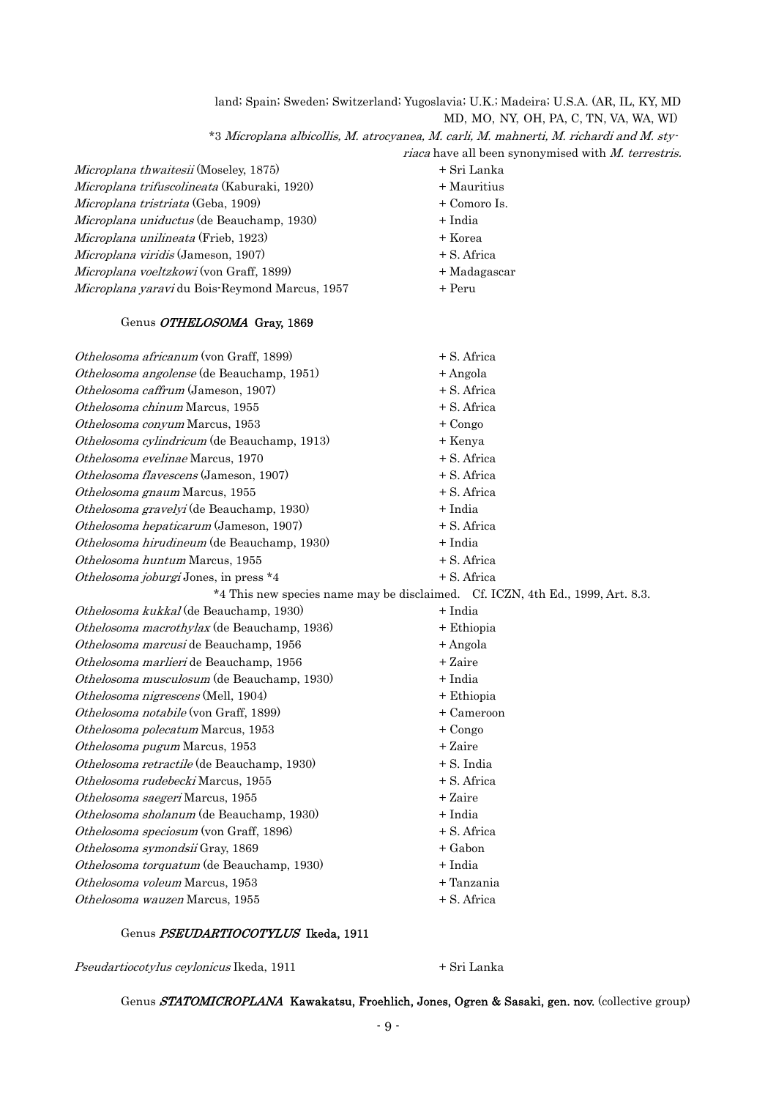land; Spain; Sweden; Switzerland; Yugoslavia; U.K.; Madeira; U.S.A. (AR, IL, KY, MD MD, MO, NY, OH, PA, C, TN, VA, WA, WI) \*3 Microplana albicollis, M. atrocyanea, M. carli, M. mahnerti, M. richardi and M. sty riaca have all been synonymised with M. terrestris. *Microplana trifuscolineata* (Kaburaki, 1920) + Mauritius Microplana tristriata (Geba, 1909)  $+$  Comoro Is. Othelosoma macrothylax (de Beauchamp, 1936) + Ethiopia Microplana thwaitesii (Moseley, 1875) + Sri Lanka Microplana uniductus (de Beauchamp, 1930) + India  $Microlana unilineata$  (Frieb, 1923)  $+$ Korea Microplana viridis (Jameson, 1907) + S. Africa Microplana voeltzkowi (von Graff, 1899)  $+$ Madagascar Microplana yaravi du Bois-Reymond Marcus, 1957 + Peru Genus OTHELOSOMA Gray, 1869 Othelosoma africanum (von Graff, 1899) + S. Africa  $Othelosoma angolense$  (de Beauchamp, 1951)  $+$ Angola Othelosoma caffrum (Jameson, 1907) + S. Africa  $Othelosoma chinum Marcus, 1955 + S. Africa$  $Othelosoma$  conyum Marcus, 1953  $+$  Congo Othelosoma cylindricum (de Beauchamp, 1913) + Kenya Othelosoma evelinae Marcus, 1970 **+ S.** Africa Othelosoma flavescens (Jameson, 1907) + S. Africa  $Othelosoma graum Marcus, 1955 + S. Africa$  $Othelosoma\,grave{grav}elyi$  (de Beauchamp, 1930)  $+$  India Othelosoma hepaticarum (Jameson, 1907) + S. Africa  $Othelosoma hirudineum$  (de Beauchamp, 1930)  $+ India$ Othelosoma huntum Marcus, 1955 + S. Africa Othelosoma joburgi Jones, in press  $*4$   $+ S.$  Africa \*4 This new species name may be disclaimed. Cf. ICZN, 4th Ed., 1999, Art. 8.3. Othelosoma kukkal (de Beauchamp, 1930) + India

- 9 -

## Genus PSEUDARTIOCOTYLUS Ikeda, 1911

Othelosoma marcusi de Beauchamp, 1956  $+$ Angola

Othelosoma musculosum (de Beauchamp, 1930) + India

Othelosoma nigrescens (Mell, 1904) + Ethiopia Othelosoma notabile (von Graff, 1899) + Cameroon  $Othelosoma polecatum Marcus, 1953 + Congo$  $Othelosoma pugum Marcus, 1953 + Zaire$ Othelosoma retractile (de Beauchamp, 1930) + S. India  $Othelosoma rudebecki Marcus, 1955 + S. Africa$  $Othelosoma saegeri$  Marcus, 1955  $+ Zaire$  $Othelosoma sholanum$  (de Beauchamp, 1930)  $+ India$ 

Othelosoma marlieri de Beauchamp, 1956 + Zaire

Othelosoma speciosum (von Graff, 1896)  $+ S.$  Africa Othelosoma symondsii Gray, 1869 + Gabon Othelosoma torquatum (de Beauchamp, 1930) + India

Othelosoma voleum Marcus, 1953 **1953** + Tanzania  $Othelosoma$  wauzen Marcus, 1955  $+ S.$  Africa

Pseudartiocotylus ceylonicus Ikeda, 1911 + Sri Lanka

Genus STATOMICROPLANA Kawakatsu, Froehlich, Jones, Ogren & Sasaki, gen. nov. (collective group)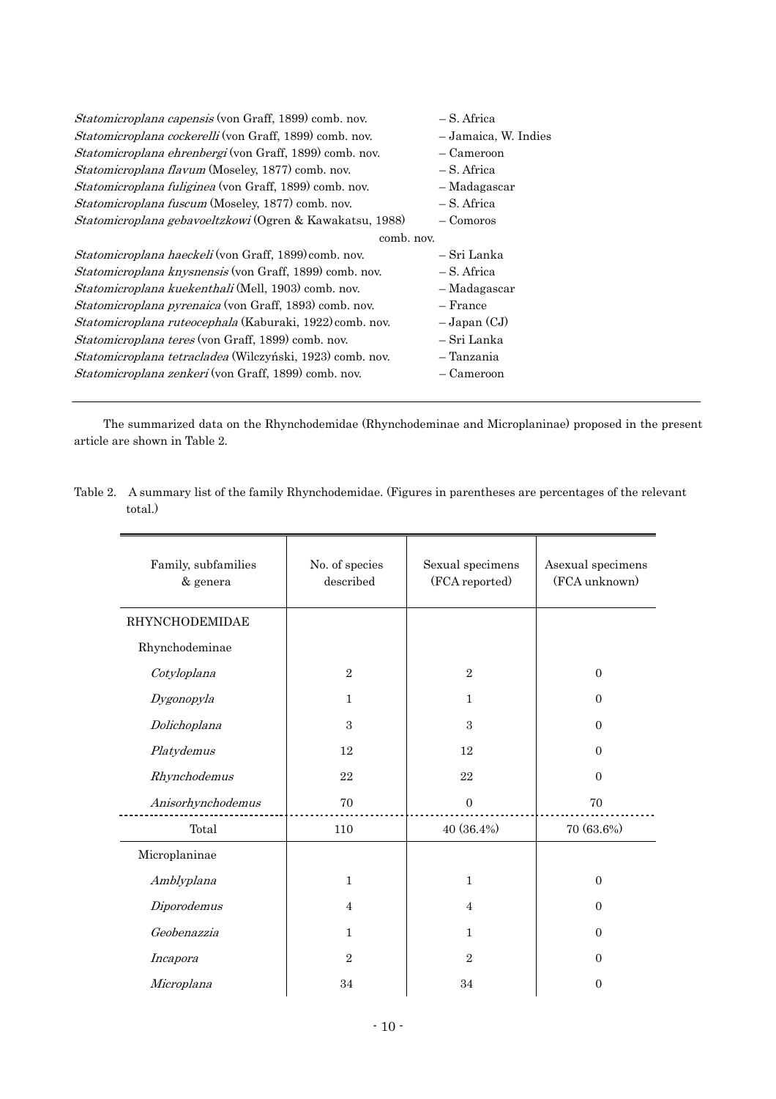| Statomicroplana capensis (von Graff, 1899) comb. nov.        | – S. Africa          |  |  |
|--------------------------------------------------------------|----------------------|--|--|
| Statomicroplana cockerelli (von Graff, 1899) comb. nov.      | - Jamaica, W. Indies |  |  |
| Statomicroplana ehrenbergi (von Graff, 1899) comb. nov.      | - Cameroon           |  |  |
| <i>Statomicroplana flavum</i> (Moseley, 1877) comb. nov.     | – S. Africa          |  |  |
| Statomicroplana fuliginea (von Graff, 1899) comb. nov.       | - Madagascar         |  |  |
| Statomicroplana fuscum (Moseley, 1877) comb. nov.            | – S. Africa          |  |  |
| Statomicroplana gebavoeltzkowi (Ogren & Kawakatsu, 1988)     | $-$ Comoros          |  |  |
|                                                              | comb. nov.           |  |  |
| <i>Statomicroplana haeckeli</i> (von Graff, 1899) comb. nov. | – Sri Lanka          |  |  |
| Statomicroplana knysnensis (von Graff, 1899) comb. nov.      | – S. Africa          |  |  |
| Statomicroplana kuekenthali (Mell, 1903) comb. nov.          | - Madagascar         |  |  |
| Statomicroplana pyrenaica (von Graff, 1893) comb. nov.       | $-$ France           |  |  |
| Statomicroplana ruteocephala (Kaburaki, 1922) comb. nov.     | $-Japan (CJ)$        |  |  |
| <i>Statomicroplana teres</i> (von Graff, 1899) comb. nov.    | – Sri Lanka          |  |  |
| Statomicroplana tetracladea (Wilczyński, 1923) comb. nov.    | – Tanzania           |  |  |
| Statomicroplana zenkeri (von Graff, 1899) comb. nov.         | - Cameroon           |  |  |
|                                                              |                      |  |  |

The summarized data on the Rhynchodemidae (Rhynchodeminae and Microplaninae) proposed in the present article are shown in Table 2.

| Family, subfamilies<br>& genera | No. of species<br>described | Sexual specimens<br>(FCA reported) | Asexual specimens<br>(FCA unknown) |
|---------------------------------|-----------------------------|------------------------------------|------------------------------------|
| <b>RHYNCHODEMIDAE</b>           |                             |                                    |                                    |
| Rhynchodeminae                  |                             |                                    |                                    |
| Cotyloplana                     | $\overline{2}$              | $\overline{2}$                     | $\overline{0}$                     |
| Dygonopyla                      | $\mathbf{1}$                | $\mathbf{1}$                       | $\mathbf{0}$                       |
| Dolichoplana                    | 3                           | 3                                  | $\mathbf{0}$                       |
| Platydemus                      | 12                          | 12                                 | $\overline{0}$                     |
| Rhynchodemus                    | 22                          | 22                                 | $\overline{0}$                     |
| Anisorhynchodemus               | 70                          | $\overline{0}$                     | 70                                 |
| Total                           | 110                         | 40 (36.4%)                         | 70 (63.6%)                         |
| Microplaninae                   |                             |                                    |                                    |
| Amblyplana                      | $\mathbf{1}$                | $\mathbf{1}$                       | $\boldsymbol{0}$                   |
| Diporodemus                     | $\overline{4}$              | $\overline{4}$                     | $\overline{0}$                     |
| Geobenazzia                     | $\mathbf{1}$                | $\mathbf{1}$                       | $\Omega$                           |
| Incapora                        | $\overline{2}$              | $\overline{2}$                     | $\Omega$                           |
| Microplana                      | 34                          | 34                                 | $\theta$                           |

Table 2. A summary list of the family Rhynchodemidae. (Figures in parentheses are percentages of the relevant total.)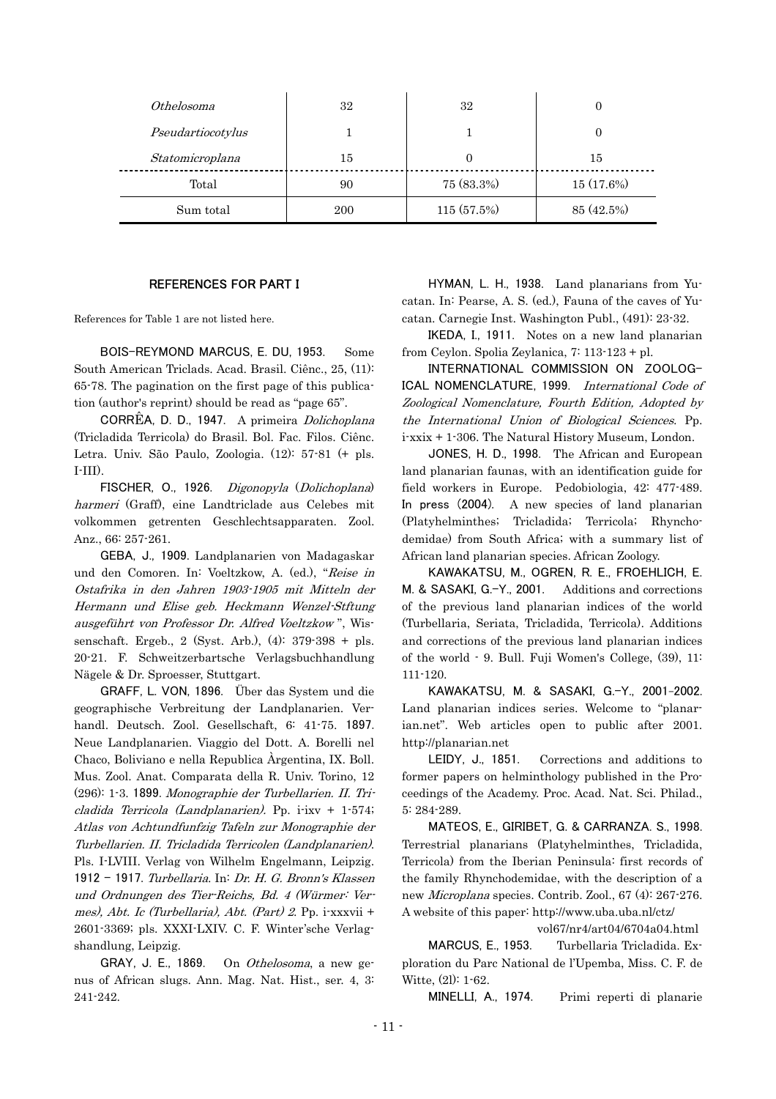| Othelosoma        | 32  | 32          | O          |
|-------------------|-----|-------------|------------|
| Pseudartiocotylus |     |             | 0          |
| Statomicroplana   | 15  | $_{0}$      | 15         |
| Total             | 90  | 75 (83.3%)  | 15 (17.6%) |
| Sum total         | 200 | 115 (57.5%) | 85 (42.5%) |

#### REFERENCES FOR PART I

References for Table 1 are not listed here.

BOIS-REYMOND MARCUS, E. DU, 1953. Some South American Triclads. Acad. Brasil. Ciênc., 25, (11): 65-78. The pagination on the first page of this publication (author's reprint) should be read as "page 65".

CORRÊA, D. D., 1947. A primeira Dolichoplana (Tricladida Terricola) do Brasil. Bol. Fac. Filos. Ciênc. Letra. Univ. São Paulo, Zoologia. (12): 57-81 (+ pls. I-III).

FISCHER, O., 1926. Digonopyla (Dolichoplana) harmeri (Graff), eine Landtriclade aus Celebes mit volkommen getrenten Geschlechtsapparaten. Zool. Anz., 66: 257-261.

GEBA, J., 1909. Landplanarien von Madagaskar und den Comoren. In: Voeltzkow, A. (ed.), "Reise in Ostafrika in den Jahren 1903-1905 mit Mitteln der Hermann und Elise geb. Heckmann Wenzel-Stftung ausgeführt von Professor Dr. Alfred Voeltzkow ", Wissenschaft. Ergeb., 2 (Syst. Arb.), (4): 379-398 + pls. 20-21. F. Schweitzerbartsche Verlagsbuchhandlung Nägele & Dr. Sproesser, Stuttgart.

(296): 1-3. 1899. Monographie der Turbellarien. II. Tricladida Terricola (Landplanarien). Pp. i-ixv + 1-574; Turbellarien. II. Tricladida Terricolen (Landplanarien). und Ordnungen des Tier-Reichs, Bd. 4 (Würmer: Ver-GRAFF, L. VON, 1896. Über das System und die geographische Verbreitung der Landplanarien. Verhandl. Deutsch. Zool. Gesellschaft, 6: 41-75. 1897. Neue Landplanarien. Viaggio del Dott. A. Borelli nel Chaco, Boliviano e nella Republica Àrgentina, IX. Boll. Mus. Zool. Anat. Comparata della R. Univ. Torino, 12 Atlas von Achtundfunfzig Tafeln zur Monographie der Pls. I-LVIII. Verlag von Wilhelm Engelmann, Leipzig. 1912 - 1917. Turbellaria. In: Dr. H. G. Bronn's Klassen mes), Abt. Ic (Turbellaria), Abt. (Part) 2. Pp. i-xxxvii + 2601-3369; pls. XXXI-LXIV. C. F. Winter'sche Verlagshandlung, Leipzig.

GRAY, J. E., 1869. On Othelosoma, a new genus of African slugs. Ann. Mag. Nat. Hist., ser. 4, 3: 241-242.

HYMAN, L. H., 1938. Land planarians from Yucatan. In: Pearse, A. S. (ed.), Fauna of the caves of Yucatan. Carnegie Inst. Washington Publ., (491): 23-32.

IKEDA, I., 1911. Notes on a new land planarian from Ceylon. Spolia Zeylanica, 7: 113-123 + pl.

INTERNATIONAL COMMISSION ON ZOOLOG-ICAL NOMENCLATURE, 1999. International Code of Zoological Nomenclature, Fourth Edition, Adopted by the International Union of Biological Sciences. Pp. i-xxix + 1-306. The Natural History Museum, London.

JONES, H. D., 1998. The African and European land planarian faunas, with an identification guide for field workers in Europe. Pedobiologia, 42: 477-489. In press (2004). A new species of land planarian (Platyhelminthes; Tricladida; Terricola; Rhynchodemidae) from South Africa; with a summary list of African land planarian species. African Zoology.

KAWAKATSU, M., OGREN, R. E., FROEHLICH, E. M. & SASAKI, G.-Y., 2001. Additions and corrections of the previous land planarian indices of the world (Turbellaria, Seriata, Tricladida, Terricola). Additions and corrections of the previous land planarian indices of the world - 9. Bull. Fuji Women's College, (39), 11: 111-120.

KAWAKATSU, M. & SASAKI, G.-Y., 2001-2002. Land planarian indices series. Welcome to "planarian.net". Web articles open to public after 2001. http://planarian.net

LEIDY, J., 1851. Corrections and additions to former papers on helminthology published in the Proceedings of the Academy. Proc. Acad. Nat. Sci. Philad., 5: 284-289.

MATEOS, E., GIRIBET, G. & CARRANZA. S., 1998. Terrestrial planarians (Platyhelminthes, Tricladida, Terricola) from the Iberian Peninsula: first records of the family Rhynchodemidae, with the description of a new Microplana species. Contrib. Zool., 67 (4): 267-276. A website of this paper: http://www.uba.uba.nl/ctz/

vol67/nr4/art04/6704a04.html

MARCUS, E., 1953. Turbellaria Tricladida. Exploration du Parc National de l'Upemba, Miss. C. F. de Witte, (2l): 1-62.

MINELLI, A., 1974. Primi reperti di planarie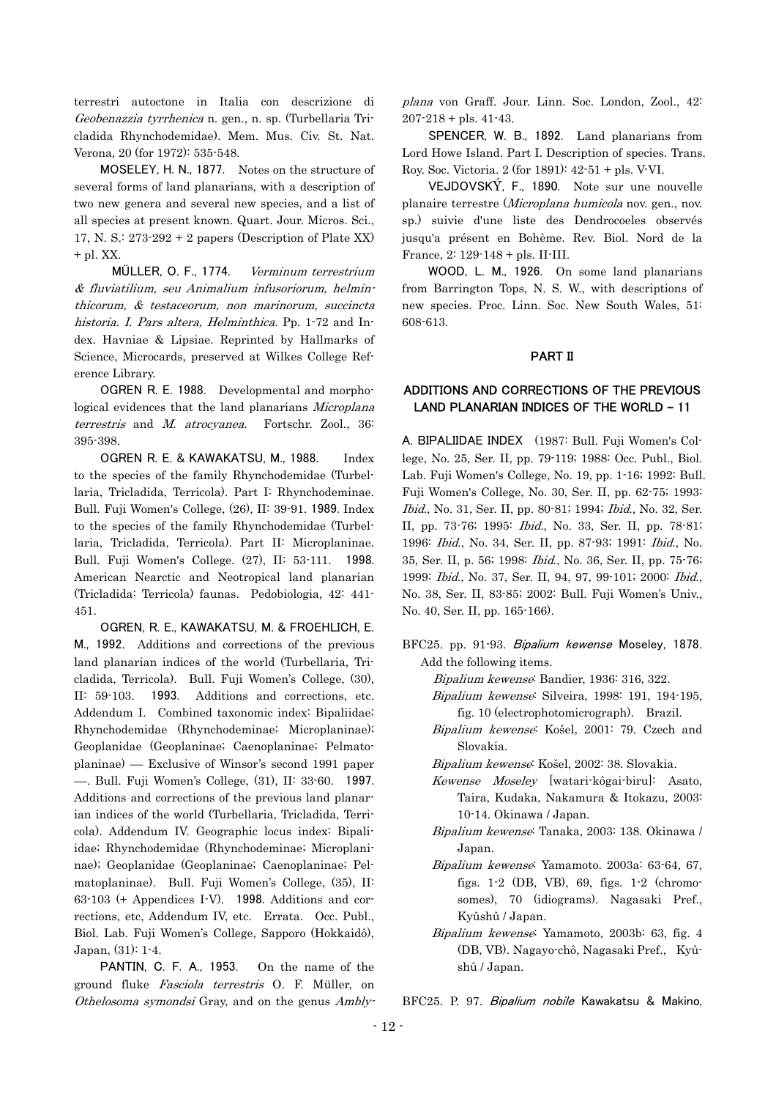terrestri autoctone in Italia con descrizione di Geobenazzia tyrrhenica n. gen., n. sp. (Turbellaria Tricladida Rhynchodemidae). Mem. Mus. Civ. St. Nat. Verona, 20 (for 1972): 535-548.

MOSELEY, H. N., 1877. Notes on the structure of several forms of land planarians, with a description of two new genera and several new species, and a list of all species at present known. Quart. Jour. Micros. Sci., 17, N. S.:  $273-292 + 2$  papers (Description of Plate XX) + pl. XX.

MÜLLER, O. F., 1774. & fluviatilium, seu Animalium infusoriorum, helminthicorum, & testaceorum, non marinorum, succincta historia. I. Pars altera, Helminthica. Pp. 1-72 and Index. Havniae & Lipsiae. Reprinted by Hallmarks of Science, Microcards, preserved at Wilkes College Reference Library. Verminum terrestrium

t errestris and M. atrocyanea. Fortschr. Zool., 36: OGREN R. E. 1988. Developmental and morphological evidences that the land planarians Microplana 395-398.

OGREN R. E. & KAWAKATSU, M., 1988. Index to the species of the family Rhynchodemidae (Turbellaria, Tricladida, Terricola). Part I: Rhynchodeminae. Bull. Fuji Women's College, (26), II: 39-91. 1989. Index to the species of the family Rhynchodemidae (Turbellaria, Tricladida, Terricola). Part II: Microplaninae. Bull. Fuji Women's College. (27), II: 53-111. 1998. American Nearctic and Neotropical land planarian (Tricladida: Terricola) faunas. Pedobiologia, 42: 441- 451.

OGREN, R. E., KAWAKATSU, M. & FROEHLICH, E. M., 1992. Additions and corrections of the previous land planarian indices of the world (Turbellaria, Tricladida, Terricola). Bull. Fuji Women's College, (30), II: 59-103. 1993. Additions and corrections, etc. Addendum I. Combined taxonomic index: Bipaliidae; Rhynchodemidae (Rhynchodeminae; Microplaninae); Geoplanidae (Geoplaninae; Caenoplaninae; Pelmatoplaninae) –– Exclusive of Winsor's second 1991 paper ––. Bull. Fuji Women's College, (31), II: 33-60. 1997. Additions and corrections of the previous land planarian indices of the world (Turbellaria, Tricladida, Terricola). Addendum IV. Geographic locus index: Bipaliidae; Rhynchodemidae (Rhynchodeminae; Microplaninae); Geoplanidae (Geoplaninae; Caenoplaninae; Pelmatoplaninae). Bull. Fuji Women's College, (35), II: 63-103 (+ Appendices I-V). 1998. Additions and corrections, etc, Addendum IV, etc. Errata. Occ. Publ., Biol. Lab. Fuji Women's College, Sapporo (Hokkaidô), Japan, (31): 1-4.

ground fluke *Fasciola terrestris* O. F. Müller, on Othelosoma symondsi Gray, and on the genus Ambly-PANTIN, C. F. A., 1953. On the name of the plana von Graff. Jour. Linn. Soc. London, Zool., 42:  $207 - 218 +$  pls. 41-43.

SPENCER, W. B., 1892. Land planarians from Lord Howe Island. Part I. Description of species. Trans. Roy. Soc. Victoria. 2 (for 1891): 42-51 + pls. V-VI.

VEJDOVSKÝ, F., 1890. Note sur une nouvelle planaire terrestre (Microplana humicola nov. gen., nov. sp.) suivie d'une liste des Dendrocoeles observés jusqu'a présent en Bohème. Rev. Biol. Nord de la France, 2: 129-148 + pls. II-III.

WOOD, L. M., 1926. On some land planarians from Barrington Tops, N. S. W., with descriptions of new species. Proc. Linn. Soc. New South Wales, 51: 608-613.

## PART II

# ADDITIONS AND CORRECTIONS OF THE PREVIOUS LAND PLANARIAN INDICES OF THE WORLD **–** 11

A. BIPALIIDAE INDEX (1987: Bull. Fuji Women's College, No. 25, Ser. II, pp. 79-119; 1988: Occ. Publ., Biol. Lab. Fuji Women's College, No. 19, pp. 1-16; 1992: Bull. Fuji Women's College, No. 30, Ser. II, pp. 62-75; 1993: Ibid., No. 31, Ser. II, pp. 80-81; 1994; Ibid., No. 32, Ser. II, pp. 73-76; 1995: Ibid., No. 33, Ser. II, pp. 78-81; 1996: Ibid., No. 34, Ser. II, pp. 87-93; 1991: Ibid., No. 35, Ser. II, p. 56; 1998: Ibid., No. 36, Ser. II, pp. 75-76; 1999: Ibid., No. 37, Ser. II, 94, 97, 99-101; 2000: Ibid., No. 38, Ser. II, 83-85; 2002: Bull. Fuji Women's Univ., No. 40, Ser. II, pp. 165-166).

- BFC25. pp. 91-93. Bipalium kewense Moseley, 1878. Add the following items.
	- Bipalium kewense: Bandier, 1936: 316, 322.
	- Bipalium kewense: Silveira, 1998: 191, 194-195, fig. 10 (electrophotomicrograph). Brazil.
	- Bipalium kewense: Košel, 2001: 79. Czech and Slovakia.
	- Bipalium kewense: Košel, 2002: 38. Slovakia.
	- Kewense Moseley [watari-kôgai-biru]: Asato, Taira, Kudaka, Nakamura & Itokazu, 2003: 10-14. Okinawa / Japan.
	- Bipalium kewense: Tanaka, 2003: 138. Okinawa / Japan.
	- Bipalium kewense: Yamamoto. 2003a: 63-64, 67, figs. 1-2 (DB, VB), 69, figs. 1-2 (chromosomes), 70 (idiograms). Nagasaki Pref., Kyûshû / Japan.
	- Bipalium kewense: Yamamoto, 2003b: 63, fig. 4 (DB, VB). Nagayo-chô, Nagasaki Pref., Kyûshû / Japan.

BFC25. P. 97. Bipalium nobile Kawakatsu & Makino,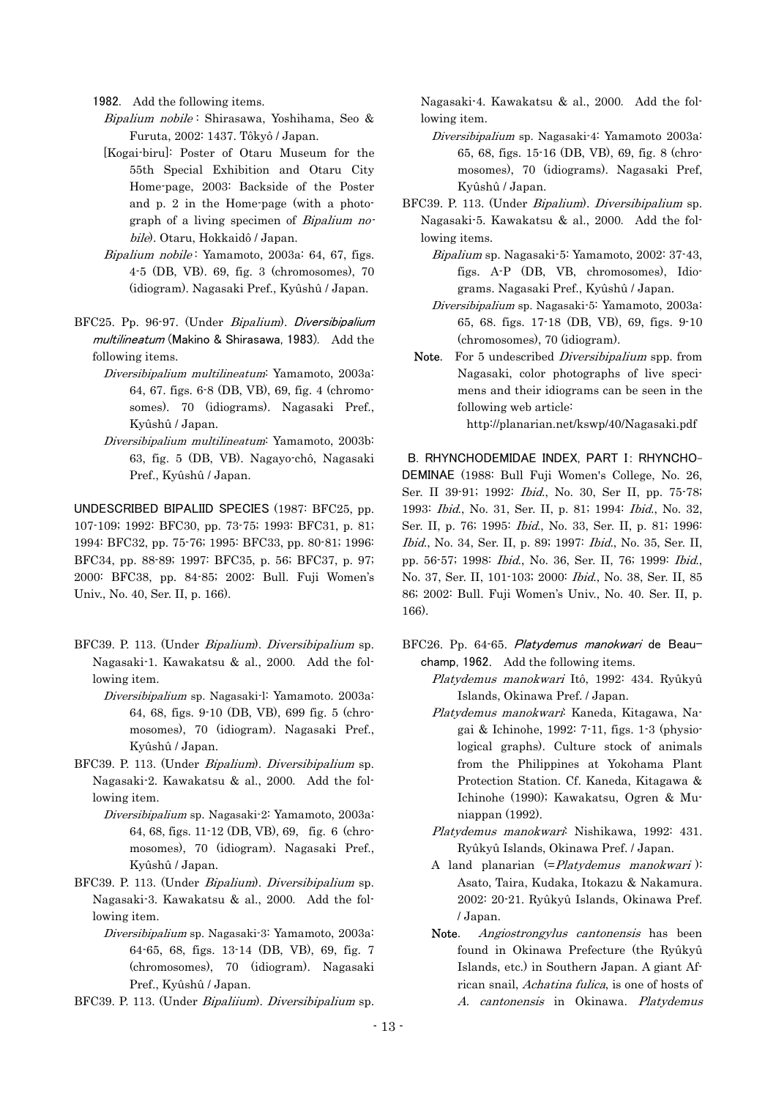1982. Add the following items.

- Bipalium nobile: Shirasawa, Yoshihama, Seo & Furuta, 2002: 1437. Tôkyô / Japan.
- [Kogai-biru]: Poster of Otaru Museum for the 55th Special Exhibition and Otaru City Home-page, 2003: Backside of the Poster and p. 2 in the Home-page (with a photograph of a living specimen of Bipalium nobile). Otaru, Hokkaidô / Japan.
- Bipalium nobile: Yamamoto, 2003a: 64, 67, figs. 4-5 (DB, VB). 69, fig. 3 (chromosomes), 70 (idiogram). Nagasaki Pref., Kyûshû / Japan.
- BFC25. Pp. 96-97. (Under Bipalium). Diversibipalium multilineatum (Makino & Shirasawa, 1983). Add the following items.
- Diversibipalium multilineatum: Yamamoto, 2003a: 64, 67. figs. 6-8 (DB, VB), 69, fig. 4 (chromosomes). 70 (idiograms). Nagasaki Pref., Kyûshû / Japan.
- Diversibipalium multilineatum: Yamamoto, 2003b: 63, fig. 5 (DB, VB). Nagayo-chô, Nagasaki Pref., Kyûshû / Japan.

UNDESCRIBED BIPALIID SPECIES (1987: BFC25, pp. 107-109; 1992: BFC30, pp. 73-75; 1993: BFC31, p. 81; 1994: BFC32, pp. 75-76; 1995: BFC33, pp. 80-81; 1996: BFC34, pp. 88-89; 1997: BFC35, p. 56; BFC37, p. 97; 2000: BFC38, pp. 84-85; 2002: Bull. Fuji Women's Univ., No. 40, Ser. II, p. 166).

- BFC39. P. 113. (Under Bipalium). Diversibipalium sp. Nagasaki-1. Kawakatsu & al., 2000. Add the following item.
- Diversibipalium sp. Nagasaki-l: Yamamoto. 2003a: 64, 68, figs. 9-10 (DB, VB), 699 fig. 5 (chromosomes), 70 (idiogram). Nagasaki Pref., Kyûshû / Japan.
- BFC39. P. 113. (Under Bipalium). Diversibipalium sp. Nagasaki-2. Kawakatsu & al., 2000. Add the following item.
- Diversibipalium sp. Nagasaki-2: Yamamoto, 2003a: 64, 68, figs. 11-12 (DB, VB), 69, fig. 6 (chromosomes), 70 (idiogram). Nagasaki Pref., Kyûshû / Japan.
- BFC39. P. 113. (Under Bipalium). Diversibipalium sp. Nagasaki-3. Kawakatsu & al., 2000. Add the following item.
- Diversibipalium sp. Nagasaki-3: Yamamoto, 2003a: 64-65, 68, figs. 13-14 (DB, VB), 69, fig. 7 (chromosomes), 70 (idiogram). Nagasaki Pref., Kyûshû / Japan.
- BFC39. P. 113. (Under Bipaliium). Diversibipalium sp.

Nagasaki-4. Kawakatsu & al., 2000. Add the following item.

- Diversibipalium sp. Nagasaki-4: Yamamoto 2003a: 65, 68, figs. 15-16 (DB, VB), 69, fig. 8 (chromosomes), 70 (idiograms). Nagasaki Pref, Kyûshû / Japan.
- BFC39. P. 113. (Under Bipalium). Diversibipalium sp. Nagasaki-5. Kawakatsu & al., 2000. Add the following items.
- Bipalium sp. Nagasaki-5: Yamamoto, 2002: 37-43, figs. A-P (DB, VB, chromosomes), Idiograms. Nagasaki Pref., Kyûshû / Japan.
- Diversibipalium sp. Nagasaki-5: Yamamoto, 2003a: 65, 68. figs. 17-18 (DB, VB), 69, figs. 9-10 (chromosomes), 70 (idiogram).
- **Note.** For 5 undescribed *Diversibipalium* spp. from Nagasaki, color photographs of live specimens and their idiograms can be seen in the following web article:

http://planarian.net/kswp/40/Nagasaki.pdf

1993: *Ibid.*, No. 31, Ser. II, p. 81; 1994: *Ibid.*, No. 32, B. RHYNCHODEMIDAE INDEX, PART I: RHYNCHO-DEMINAE (1988: Bull Fuji Women's College, No. 26, Ser. II 39-91; 1992: Ibid., No. 30, Ser II, pp. 75-78; Ser. II, p. 76; 1995: Ibid., No. 33, Ser. II, p. 81; 1996: Ibid., No. 34, Ser. II, p. 89; 1997: Ibid., No. 35, Ser. II, pp. 56-57; 1998: Ibid., No. 36, Ser. II, 76; 1999: Ibid., No. 37, Ser. II, 101-103; 2000: Ibid., No. 38, Ser. II, 85 86; 2002: Bull. Fuji Women's Univ., No. 40. Ser. II, p. 166).

- BFC26. Pp. 64-65. Platydemus manokwari de Beauchamp, 1962. Add the following items.
- Platydemus manokwari Itô, 1992: 434. Ryûkyû Islands, Okinawa Pref. / Japan.
- Platydemus manokwari: Kaneda, Kitagawa, Nagai & Ichinohe, 1992: 7-11, figs. 1-3 (physiological graphs). Culture stock of animals from the Philippines at Yokohama Plant Protection Station. Cf. Kaneda, Kitagawa & Ichinohe (1990); Kawakatsu, Ogren & Muniappan (1992).
- Platydemus manokwari: Nishikawa, 1992: 431. Ryûkyû Islands, Okinawa Pref. / Japan.
	- A land planarian  $(=Platydemus manokwari)$ : Asato, Taira, Kudaka, Itokazu & Nakamura. 2002: 20-21. Ryûkyû Islands, Okinawa Pref. / Japan.
	- Note. Angiostrongylus cantonensis has been found in Okinawa Prefecture (the Ryûkyû Islands, etc.) in Southern Japan. A giant African snail, Achatina fulica, is one of hosts of A. cantonensis in Okinawa. Platydemus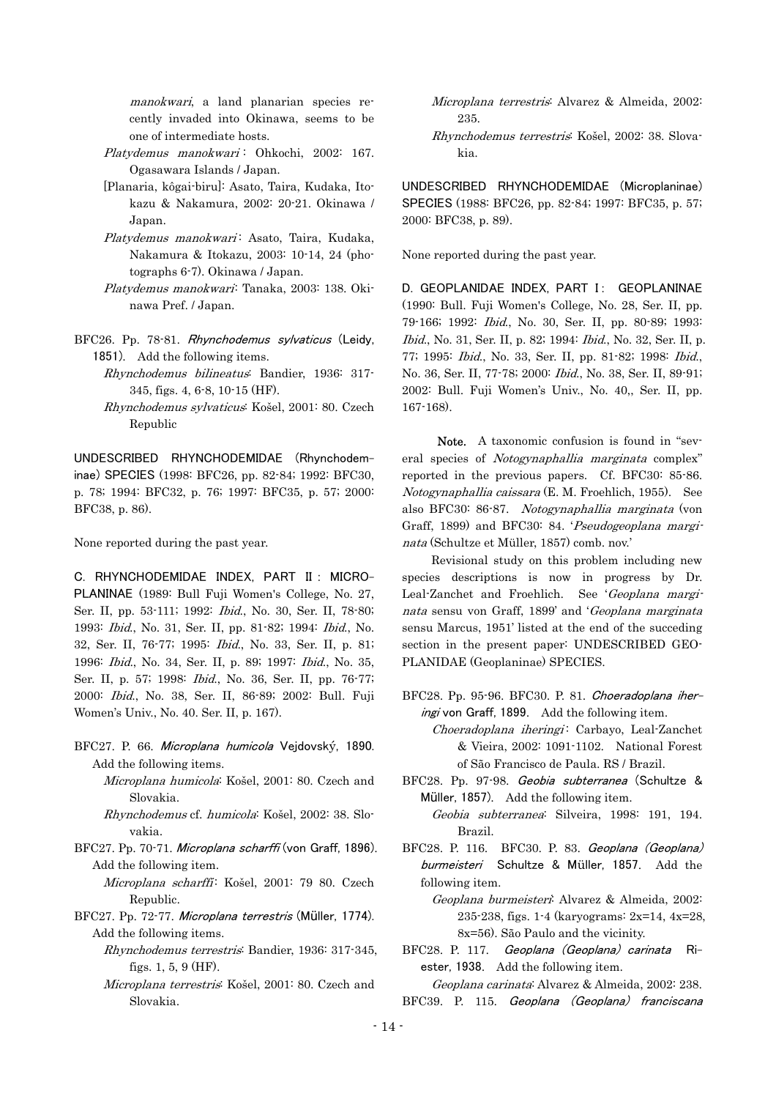manokwari, a land planarian species recently invaded into Okinawa, seems to be one of intermediate hosts.

- Platydemus manokwari: Ohkochi, 2002: 167. Ogasawara Islands / Japan.
	- [Planaria, kôgai-biru]: Asato, Taira, Kudaka, Itokazu & Nakamura, 2002: 20-21. Okinawa / Japan.
- Platydemus manokwari: Asato, Taira, Kudaka, Nakamura & Itokazu, 2003: 10-14, 24 (photographs 6-7). Okinawa / Japan.
	- Platydemus manokwari: Tanaka, 2003: 138. Okinawa Pref. / Japan.
- BFC26. Pp. 78-81. Rhynchodemus sylvaticus (Leidy, 1851). Add the following items.
	- Rhynchodemus bilineatus: Bandier, 1936: 317- 345, figs. 4, 6-8, 10-15 (HF).
- Rhynchodemus sylvaticus: Košel, 2001: 80. Czech Republic

UNDESCRIBED RHYNCHODEMIDAE (Rhynchodeminae) SPECIES (1998: BFC26, pp. 82-84; 1992: BFC30, p. 78; 1994: BFC32, p. 76; 1997: BFC35, p. 57; 2000: BFC38, p. 86).

None reported during the past year.

C. RHYNCHODEMIDAE INDEX, PART II : MICRO-PLANINAE (1989: Bull Fuji Women's College, No. 27, Ser. II, pp. 53-111; 1992: Ibid., No. 30, Ser. II, 78-80; 1993: Ibid., No. 31, Ser. II, pp. 81-82; 1994: Ibid., No. 32, Ser. II, 76-77; 1995: Ibid., No. 33, Ser. II, p. 81; 1996: Ibid., No. 34, Ser. II, p. 89; 1997: Ibid., No. 35, Ser. II, p. 57; 1998: Ibid., No. 36, Ser. II, pp. 76-77; 2000: Ibid., No. 38, Ser. II, 86-89; 2002: Bull. Fuji Women's Univ., No. 40. Ser. II, p. 167).

BFC27. P. 66. Microplana humicola Vejdovský, 1890. Add the following items.

 Microplana humicola: Košel, 2001: 80. Czech and Slovakia.

 Rhynchodemus cf. humicola: Košel, 2002: 38. Slovakia.

- BFC27. Pp. 70-71. Microplana scharffi (von Graff, 1896). Add the following item.
- Microplana scharffi: Košel, 2001: 79 80. Czech Republic.
- BFC27. Pp. 72-77. Microplana terrestris (Müller, 1774). Add the following items.
	- Rhynchodemus terrestris: Bandier, 1936: 317-345, figs. 1, 5, 9 (HF).
- Microplana terrestris: Košel, 2001: 80. Czech and Slovakia.

Microplana terrestris: Alvarez & Almeida, 2002: 235.

Rhynchodemus terrestris: Košel, 2002: 38. Slovakia.

UNDESCRIBED RHYNCHODEMIDAE (Microplaninae) SPECIES (1988: BFC26, pp. 82-84; 1997: BFC35, p. 57; 2000: BFC38, p. 89).

None reported during the past year.

D. GEOPLANIDAE INDEX, PART I: GEOPLANINAE (1990: Bull. Fuji Women's College, No. 28, Ser. II, pp. 79-166; 1992: Ibid., No. 30, Ser. II, pp. 80-89; 1993: Ibid., No. 31, Ser. II, p. 82; 1994: Ibid., No. 32, Ser. II, p. 77; 1995: Ibid., No. 33, Ser. II, pp. 81-82; 1998: Ibid., No. 36, Ser. II, 77-78; 2000: Ibid., No. 38, Ser. II, 89-91; 2002: Bull. Fuji Women's Univ., No. 40,, Ser. II, pp. 167-168).

 Note. A taxonomic confusion is found in "several species of Notogynaphallia marginata complex" reported in the previous papers. Cf. BFC30: 85-86. Notogynaphallia caissara (E. M. Froehlich, 1955). See also BFC30: 86-87. Notogynaphallia marginata (von Graff, 1899) and BFC30: 84. 'Pseudogeoplana marginata (Schultze et Müller, 1857) comb. nov.'

Revisional study on this problem including new species descriptions is now in progress by Dr. Leal-Zanchet and Froehlich. See 'Geoplana marginata sensu von Graff, 1899' and 'Geoplana marginata sensu Marcus, 1951' listed at the end of the succeding section in the present paper: UNDESCRIBED GEO-PLANIDAE (Geoplaninae) SPECIES.

BFC28. Pp. 95-96. BFC30. P. 81. Choeradoplana iheringi von Graff, 1899. Add the following item.

Choeradoplana iheringi: Carbayo, Leal-Zanchet & Vieira, 2002: 1091-1102. National Forest of São Francisco de Paula. RS / Brazil.

BFC28. Pp. 97-98. Geobia subterranea (Schultze & Müller, 1857). Add the following item. Geobia subterranea: Silveira, 1998: 191, 194.

- Brazil.
- BFC28. P. 116. BFC30. P. 83. Geoplana (Geoplana) burmeisteri Schultze & Müller, 1857. Add the following item.

 Geoplana burmeisteri: Alvarez & Almeida, 2002: 235-238, figs. 1-4 (karyograms: 2x=14, 4x=28, 8x=56). São Paulo and the vicinity.

BFC28. P. 117. Geoplana (Geoplana) carinata Riester, 1938. Add the following item.

*Geoplana carinata*: Alvarez & Almeida, 2002: 238. BFC39. P. 115. Geoplana (Geoplana) franciscana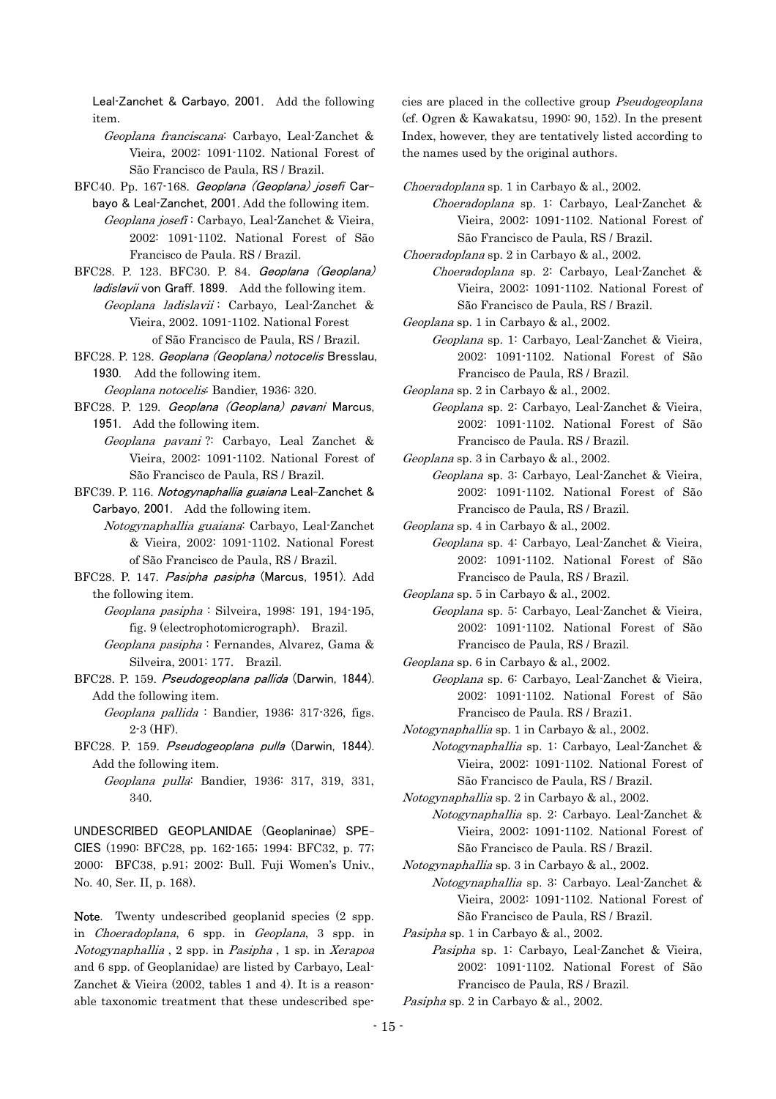Leal-Zanchet & Carbayo, 2001. Add the following item.

- Geoplana franciscana: Carbayo, Leal-Zanchet & Vieira, 2002: 1091-1102. National Forest of São Francisco de Paula, RS / Brazil.
- BFC40. Pp. 167-168. Geoplana (Geoplana) josefi Carbayo & Leal-Zanchet, 2001. Add the following item.
	- Geoplana josefi : Carbayo, Leal-Zanchet & Vieira, 2002: 1091-1102. National Forest of São Francisco de Paula. RS / Brazil.
- BFC28. P. 123. BFC30. P. 84. Geoplana (Geoplana)
- ladislavii von Graff. 1899. Add the following item. Geoplana ladislavii : Carbayo, Leal-Zanchet & Vieira, 2002. 1091-1102. National Forest of São Francisco de Paula, RS / Brazil.
- BFC28. P. 128. Geoplana (Geoplana) notocelis Bresslau, 1930. Add the following item.
	- Geoplana notocelis: Bandier, 1936: 320.
- BFC28. P. 129. Geoplana (Geoplana) pavani Marcus, 1951. Add the following item.
	- Geoplana pavani ?: Carbayo, Leal Zanchet & Vieira, 2002: 1091-1102. National Forest of São Francisco de Paula, RS / Brazil.
- BFC39. P. 116. Notogynaphallia guaiana Leal-Zanchet & Carbayo, 2001. Add the following item.
	- Notogynaphallia guaiana: Carbayo, Leal-Zanchet & Vieira, 2002: 1091-1102. National Forest of São Francisco de Paula, RS / Brazil.
- BFC28. P. 147. Pasipha pasipha (Marcus, 1951). Add the following item.
	- Geoplana pasipha : Silveira, 1998: 191, 194-195, fig. 9 (electrophotomicrograph). Brazil.
	- Geoplana pasipha : Fernandes, Alvarez, Gama & Silveira, 2001: 177. Brazil.
- BFC28. P. 159. Pseudogeoplana pallida (Darwin, 1844). Add the following item.
	- Geoplana pallida : Bandier, 1936: 317-326, figs. 2-3 (HF).
- BFC28. P. 159. Pseudogeoplana pulla (Darwin, 1844). Add the following item.
	- Geoplana pulla: Bandier, 1936: 317, 319, 331, 340.

UNDESCRIBED GEOPLANIDAE (Geoplaninae) SPE-CIES (1990: BFC28, pp. 162-165; 1994: BFC32, p. 77; 2000: BFC38, p.91; 2002: Bull. Fuji Women's Univ., No. 40, Ser. II, p. 168).

Note. Twenty undescribed geoplanid species  $(2 \text{ spp.})$ in Choeradoplana, 6 spp. in Geoplana, 3 spp. in Notogynaphallia , 2 spp. in Pasipha , 1 sp. in Xerapoa and 6 spp. of Geoplanidae) are listed by Carbayo, Leal-Zanchet & Vieira (2002, tables 1 and 4). It is a reasonable taxonomic treatment that these undescribed spe-

cies are placed in the collective group Pseudogeoplana (cf. Ogren & Kawakatsu, 1990: 90, 152). In the present Index, however, they are tentatively listed according to the names used by the original authors.

Choeradoplana sp. 1 in Carbayo & al., 2002.

- Choeradoplana sp. 1: Carbayo, Leal-Zanchet & Vieira, 2002: 1091-1102. National Forest of São Francisco de Paula, RS / Brazil.
- Choeradoplana sp. 2 in Carbayo & al., 2002.
	- Choeradoplana sp. 2: Carbayo, Leal-Zanchet & Vieira, 2002: 1091-1102. National Forest of São Francisco de Paula, RS / Brazil.

Geoplana sp. 1 in Carbayo & al., 2002.

 Geoplana sp. 1: Carbayo, Leal-Zanchet & Vieira, 2002: 1091-1102. National Forest of São Francisco de Paula, RS / Brazil.

Geoplana sp. 2 in Carbayo & al., 2002.

 Geoplana sp. 2: Carbayo, Leal-Zanchet & Vieira, 2002: 1091-1102. National Forest of São Francisco de Paula. RS / Brazil.

Geoplana sp. 3 in Carbayo & al., 2002.

 Geoplana sp. 3: Carbayo, Leal-Zanchet & Vieira, 2002: 1091-1102. National Forest of São Francisco de Paula, RS / Brazil.

Geoplana sp. 4 in Carbayo & al., 2002.

 Geoplana sp. 4: Carbayo, Leal-Zanchet & Vieira, 2002: 1091-1102. National Forest of São Francisco de Paula, RS / Brazil.

Geoplana sp. 5 in Carbayo & al., 2002.

 Geoplana sp. 5: Carbayo, Leal-Zanchet & Vieira, 2002: 1091-1102. National Forest of São Francisco de Paula, RS / Brazil.

Geoplana sp. 6 in Carbayo & al., 2002.

 Geoplana sp. 6: Carbayo, Leal-Zanchet & Vieira, 2002: 1091-1102. National Forest of São Francisco de Paula. RS / Brazi1.

Notogynaphallia sp. 1 in Carbayo & al., 2002.

 Notogynaphallia sp. 1: Carbayo, Leal-Zanchet & Vieira, 2002: 1091-1102. National Forest of São Francisco de Paula, RS / Brazil.

Notogynaphallia sp. 2 in Carbayo & al., 2002.

- Notogynaphallia sp. 2: Carbayo. Leal-Zanchet & Vieira, 2002: 1091-1102. National Forest of São Francisco de Paula. RS / Brazil.
- Notogynaphallia sp. 3 in Carbayo & al., 2002. Notogynaphallia sp. 3: Carbayo. Leal-Zanchet & Vieira, 2002: 1091-1102. National Forest of São Francisco de Paula, RS / Brazil.
- Pasipha sp. 1 in Carbayo & al., 2002.
	- Pasipha sp. 1: Carbayo, Leal-Zanchet & Vieira, 2002: 1091-1102. National Forest of São Francisco de Paula, RS / Brazil.

Pasipha sp. 2 in Carbayo & al., 2002.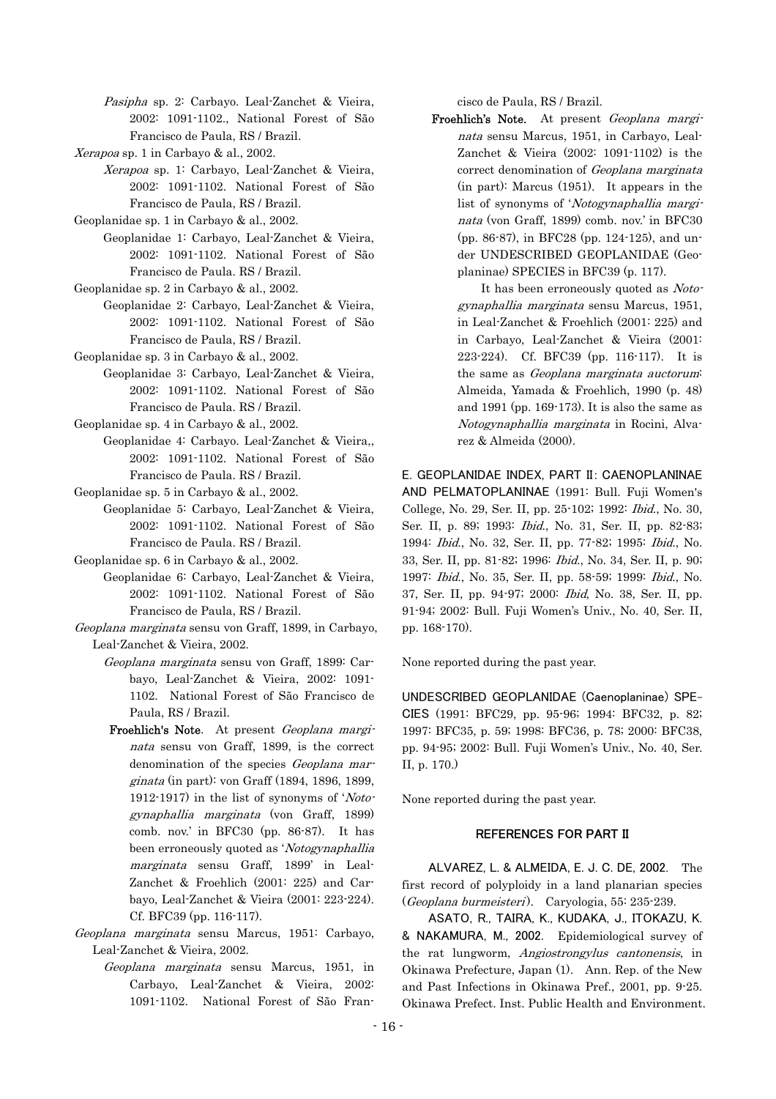Pasipha sp. 2: Carbayo. Leal-Zanchet & Vieira, 2002: 1091-1102., National Forest of São Francisco de Paula, RS / Brazil.

- Xerapoa sp. 1 in Carbayo & al., 2002.
	- Xerapoa sp. 1: Carbayo, Leal-Zanchet & Vieira, 2002: 1091-1102. National Forest of São Francisco de Paula, RS / Brazil.
- Geoplanidae sp. 1 in Carbayo & al., 2002.
	- Geoplanidae 1: Carbayo, Leal-Zanchet & Vieira, 2002: 1091-1102. National Forest of São Francisco de Paula. RS / Brazil.
- Geoplanidae sp. 2 in Carbayo & al., 2002.
	- Geoplanidae 2: Carbayo, Leal-Zanchet & Vieira, 2002: 1091-1102. National Forest of São Francisco de Paula, RS / Brazil.
- Geoplanidae sp. 3 in Carbayo & al., 2002.
	- Geoplanidae 3: Carbayo, Leal-Zanchet & Vieira, 2002: 1091-1102. National Forest of São Francisco de Paula. RS / Brazil.

Geoplanidae sp. 4 in Carbayo & al., 2002.

- Geoplanidae 4: Carbayo. Leal-Zanchet & Vieira,, 2002: 1091-1102. National Forest of São Francisco de Paula. RS / Brazil.
- Geoplanidae sp. 5 in Carbayo & al., 2002.
	- Geoplanidae 5: Carbayo, Leal-Zanchet & Vieira, 2002: 1091-1102. National Forest of São Francisco de Paula. RS / Brazil.
- Geoplanidae sp. 6 in Carbayo & al., 2002.
	- Geoplanidae 6: Carbayo, Leal-Zanchet & Vieira, 2002: 1091-1102. National Forest of São Francisco de Paula, RS / Brazil.
- Geoplana marginata sensu von Graff, 1899, in Carbayo, Leal-Zanchet & Vieira, 2002.
	- Geoplana marginata sensu von Graff, 1899: Carbayo, Leal-Zanchet & Vieira, 2002: 1091- 1102. National Forest of São Francisco de Paula, RS / Brazil.
	- Froehlich's Note. At present Geoplana marginata sensu von Graff, 1899, is the correct denomination of the species Geoplana marginata (in part): von Graff (1894, 1896, 1899, 1912-1917) in the list of synonyms of 'Notogynaphallia marginata (von Graff, 1899) comb. nov.' in BFC30 (pp. 86-87). It has been erroneously quoted as 'Notogynaphallia marginata sensu Graff, 1899' in Leal-Zanchet & Froehlich (2001: 225) and Carbayo, Leal-Zanchet & Vieira (2001: 223-224). Cf. BFC39 (pp. 116-117).
- Geoplana marginata sensu Marcus, 1951: Carbayo, Leal-Zanchet & Vieira, 2002.
	- Geoplana marginata sensu Marcus, 1951, in Carbayo, Leal-Zanchet & Vieira, 2002: 1091-1102. National Forest of São Fran-

cisco de Paula, RS / Brazil.

Froehlich's Note. At present Geoplana marginata sensu Marcus, 1951, in Carbayo, Leal-Zanchet & Vieira (2002: 1091-1102) is the correct denomination of Geoplana marginata (in part): Marcus (1951). It appears in the list of synonyms of 'Notogynaphallia marginata (von Graff, 1899) comb. nov.' in BFC30 (pp. 86-87), in BFC28 (pp. 124-125), and under UNDESCRIBED GEOPLANIDAE (Geoplaninae) SPECIES in BFC39 (p. 117).

It has been erroneously quoted as Notogynaphallia marginata sensu Marcus, 1951, in Leal-Zanchet & Froehlich (2001: 225) and in Carbayo, Leal-Zanchet & Vieira (2001: 223-224). Cf. BFC39 (pp. 116-117). It is the same as Geoplana marginata auctorum Almeida, Yamada & Froehlich, 1990 (p. 48) and 1991 (pp. 169-173). It is also the same as Notogynaphallia marginata in Rocini, Alvarez & Almeida (2000).

E. GEOPLANIDAE INDEX, PART II: CAENOPLANINAE AND PELMATOPLANINAE (1991: Bull. Fuji Women's College, No. 29, Ser. II, pp. 25-102; 1992: Ibid., No. 30, Ser. II, p. 89; 1993: Ibid., No. 31, Ser. II, pp. 82-83; 1994: Ibid., No. 32, Ser. II, pp. 77-82; 1995: Ibid., No. 33, Ser. II, pp. 81-82; 1996: Ibid., No. 34, Ser. II, p. 90; 1997: Ibid., No. 35, Ser. II, pp. 58-59; 1999: Ibid., No. 37, Ser. II, pp. 94-97; 2000: Ibid, No. 38, Ser. II, pp. 91-94; 2002: Bull. Fuji Women's Univ., No. 40, Ser. II, pp. 168-170).

None reported during the past year.

UNDESCRIBED GEOPLANIDAE (Caenoplaninae) SPE-CIES (1991: BFC29, pp. 95-96; 1994: BFC32, p. 82; 1997: BFC35, p. 59; 1998: BFC36, p. 78; 2000: BFC38, pp. 94-95; 2002: Bull. Fuji Women's Univ., No. 40, Ser. II, p. 170.)

None reported during the past year.

#### REFERENCES FOR PART II

ALVAREZ, L. & ALMEIDA, E. J. C. DE, 2002. The first record of polyploidy in a land planarian species (Geoplana burmeisteri). Caryologia, 55: 235-239.

ASATO, R., TAIRA, K., KUDAKA, J., ITOKAZU, K. & NAKAMURA, M., 2002. Epidemiological survey of the rat lungworm, Angiostrongylus cantonensis, in Okinawa Prefecture, Japan (1). Ann. Rep. of the New and Past Infections in Okinawa Pref., 2001, pp. 9-25. Okinawa Prefect. Inst. Public Health and Environment.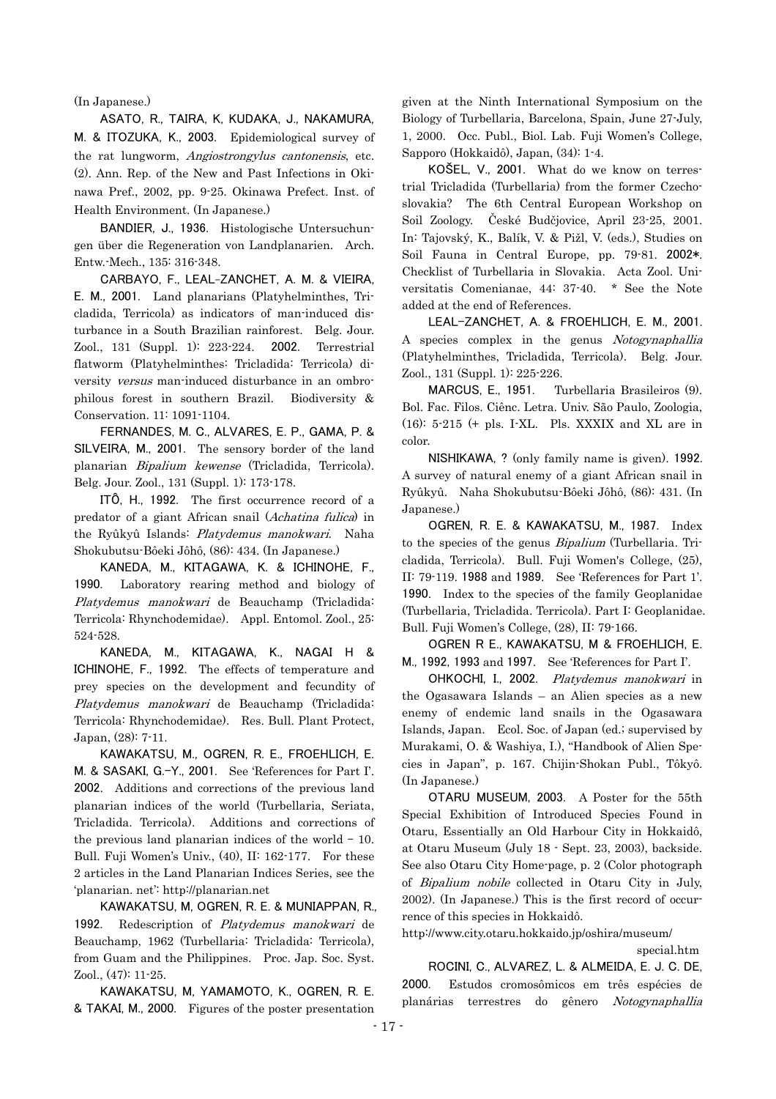(In Japanese.)

ASATO, R., TAIRA, K, KUDAKA, J., NAKAMURA, M. & ITOZUKA, K., 2003. Epidemiological survey of the rat lungworm, Angiostrongylus cantonensis, etc. (2). Ann. Rep. of the New and Past Infections in Okinawa Pref., 2002, pp. 9-25. Okinawa Prefect. Inst. of Health Environment. (In Japanese.)

BANDIER, J., 1936. Histologische Untersuchungen über die Regeneration von Landplanarien. Arch. Entw.-Mech., 135: 316-348.

CARBAYO, F., LEAL-ZANCHET, A. M. & VIEIRA, E. M., 2001. Land planarians (Platyhelminthes, Tricladida, Terricola) as indicators of man-induced disturbance in a South Brazilian rainforest. Belg. Jour. Zool., 131 (Suppl. 1): 223-224. 2002. Terrestrial flatworm (Platyhelminthes: Tricladida: Terricola) diversity versus man-induced disturbance in an ombrophilous forest in southern Brazil. Biodiversity & Conservation. 11: 1091-1104.

FERNANDES, M. C., ALVARES, E. P., GAMA, P. & SILVEIRA, M., 2001. The sensory border of the land planarian Bipalium kewense (Tricladida, Terricola). Belg. Jour. Zool., 131 (Suppl. 1): 173-178.

ITÔ, H., 1992. The first occurrence record of a predator of a giant African snail (Achatina fulica) in the Ryûkyû Islands: Platydemus manokwari. Naha Shokubutsu-Bôeki Jôhô, (86): 434. (In Japanese.)

KANEDA, M., KITAGAWA, K. & ICHINOHE, F., 1990. Laboratory rearing method and biology of Platydemus manokwari de Beauchamp (Tricladida: Terricola: Rhynchodemidae). Appl. Entomol. Zool., 25: 524-528.

Platydemus manokwari de Beauchamp (Tricladida: KANEDA, M., KITAGAWA, K., NAGAI H & ICHINOHE, F., 1992. The effects of temperature and prey species on the development and fecundity of Terricola: Rhynchodemidae). Res. Bull. Plant Protect, Japan, (28): 7-11.

KAWAKATSU, M., OGREN, R. E., FROEHLICH, E. M. & SASAKI, G.-Y., 2001. See 'References for Part I'. 2002. Additions and corrections of the previous land planarian indices of the world (Turbellaria, Seriata, Tricladida. Terricola). Additions and corrections of the previous land planarian indices of the world  $-10$ . Bull. Fuji Women's Univ., (40), II: 162-177. For these 2 articles in the Land Planarian Indices Series, see the 'planarian. net': http://planarian.net

1992. Redescription of Platydemus manokwari de KAWAKATSU, M, OGREN, R. E. & MUNIAPPAN, R., Beauchamp, 1962 (Turbellaria: Tricladida: Terricola), from Guam and the Philippines. Proc. Jap. Soc. Syst. Zool., (47): 11-25.

KAWAKATSU, M, YAMAMOTO, K., OGREN, R. E. & TAKAI, M., 2000. Figures of the poster presentation given at the Ninth International Symposium on the Biology of Turbellaria, Barcelona, Spain, June 27-July, 1, 2000. Occ. Publ., Biol. Lab. Fuji Women's College, Sapporo (Hokkaidô), Japan, (34): 1-4.

KOŠEL, V., 2001. What do we know on terrestrial Tricladida (Turbellaria) from the former Czechoslovakia? The 6th Central European Workshop on Soil Zoology. České Budčjovice, April 23-25, 2001. In: Tajovský, K., Balík, V. & Pižl, V. (eds.), Studies on Soil Fauna in Central Europe, pp. 79-81. 2002\*. Checklist of Turbellaria in Slovakia. Acta Zool. Universitatis Comenianae, 44: 37-40. \* See the Note added at the end of References.

LEAL-ZANCHET, A. & FROEHLICH, E. M., 2001. A species complex in the genus Notogynaphallia (Platyhelminthes, Tricladida, Terricola). Belg. Jour. Zool., 131 (Suppl. 1): 225-226.

MARCUS, E., 1951. Turbellaria Brasileiros (9). Bol. Fac. Filos. Ciênc. Letra. Univ. São Paulo, Zoologia, (16): 5-215 (+ pls. I-XL. Pls. XXXIX and XL are in color.

NISHIKAWA, ? (only family name is given). 1992. A survey of natural enemy of a giant African snail in Ryûkyû. Naha Shokubutsu-Bôeki Jôhô, (86): 431. (In Japanese.)

OGREN, R. E. & KAWAKATSU, M., 1987. Index to the species of the genus Bipalium (Turbellaria. Tricladida, Terricola). Bull. Fuji Women's College, (25), II: 79-119. 1988 and 1989. See 'References for Part 1'. 1990. Index to the species of the family Geoplanidae (Turbellaria, Tricladida. Terricola). Part I: Geoplanidae. Bull. Fuji Women's College, (28), II: 79-166.

OGREN R E., KAWAKATSU, M & FROEHLICH, E. M., 1992, 1993 and 1997. See 'References for Part I'.

OHKOCHI, I., 2002. Platydemus manokwari in the Ogasawara Islands – an Alien species as a new enemy of endemic land snails in the Ogasawara Islands, Japan. Ecol. Soc. of Japan (ed.; supervised by Murakami, O. & Washiya, I.), "Handbook of Alien Species in Japan", p. 167. Chijin-Shokan Publ., Tôkyô. (In Japanese.)

OTARU MUSEUM, 2003. A Poster for the 55th Special Exhibition of Introduced Species Found in Otaru, Essentially an Old Harbour City in Hokkaidô, at Otaru Museum (July 18 - Sept. 23, 2003), backside. See also Otaru City Home-page, p. 2 (Color photograph of Bipalium nobile collected in Otaru City in July, 2002). (In Japanese.) This is the first record of occurrence of this species in Hokkaidô.

http://www.city.otaru.hokkaido.jp/oshira/museum/

special.htm

ROCINI, C., ALVAREZ, L. & ALMEIDA, E. J. C. DE, 2000. Estudos cromosômicos em três espécies de planárias terrestres do gênero Notogynaphallia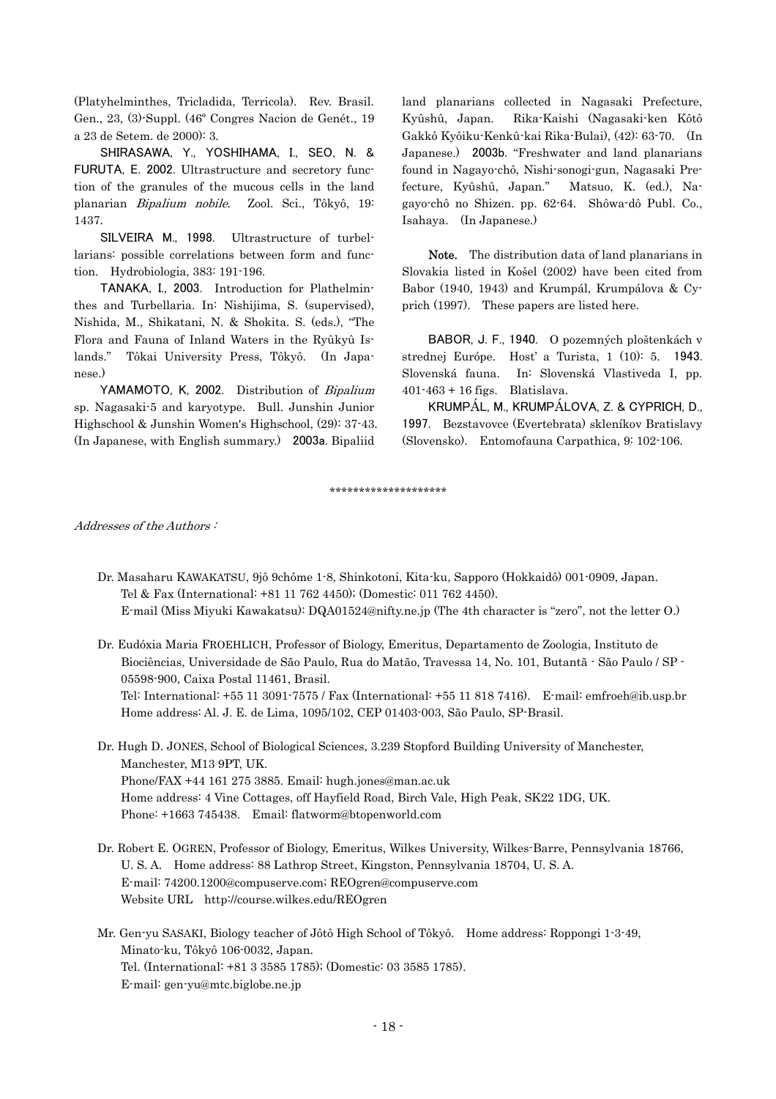(Platyhelminthes, Tricladida, Terricola). Rev. Brasil. Gen., 23, (3)-Suppl. (46º Congres Nacion de Genét., 19 a 23 de Setem. de 2000): 3.

SHIRASAWA, Y., YOSHIHAMA, I., SEO, N. & FURUTA, E. 2002. Ultrastructure and secretory function of the granules of the mucous cells in the land planarian Bipalium nobile. Zool. Sci., Tôkyô, 19: 1437.

SILVEIRA M., 1998. Ultrastructure of turbellarians: possible correlations between form and function. Hydrobiologia, 383: 191-196.

TANAKA, I., 2003. Introduction for Plathelminthes and Turbellaria. In: Nishijima, S. (supervised), Nishida, M., Shikatani, N. & Shokita. S. (eds.), "The Flora and Fauna of Inland Waters in the Ryûkyû Islands." Tôkai University Press, Tôkyô. (In Japanese.)

YAMAMOTO, K, 2002. Distribution of Bipalium sp. Nagasaki-5 and karyotype. Bull. Junshin Junior Highschool & Junshin Women's Highschool, (29): 37-43. (In Japanese, with English summary.) 2003a. Bipaliid

land planarians collected in Nagasaki Prefecture, Kyûshû, Japan. Rika-Kaishi (Nagasaki-ken Kôtô Gakkô Kyôiku-Kenkû-kai Rika-Bulai), (42): 63-70. (In Japanese.) 2003b. "Freshwater and land planarians found in Nagayo-chô, Nishi-sonogi-gun, Nagasaki Prefecture, Kyûshû, Japan." Matsuo, K. (ed.), Nagayo-chô no Shizen. pp. 62-64. Shôwa-dô Publ. Co., Isahaya. (In Japanese.)

Note. The distribution data of land planarians in Slovakia listed in Košel (2002) have been cited from Babor (1940, 1943) and Krumpál, Krumpálova & Cyprich (1997). These papers are listed here.

BABOR, J. F., 1940. O pozemných ploštenkách v strednej Európe. Host' a Turista, 1 (10): 5. 1943. Slovenská fauna. In: Slovenská Vlastiveda I, pp. 401-463 + 16 figs. Blatislava.

KRUMPÁL, M., KRUMPÁLOVA, Z. & CYPRICH, D., 1997. Bezstavovce (Evertebrata) skleníkov Bratislavy (Slovensko). Entomofauna Carpathica, 9: 102-106.

\*\*\*\*\*\*\*\*\*\*\*\*\*\*\*\*\*\*\*\*

Addresses of the Authors :

- Dr. Masaharu KAWAKATSU, 9jô 9chôme 1-8, Shinkotoni, Kita-ku, Sapporo (Hokkaidô) 001-0909, Japan. Tel & Fax (International: +81 11 762 4450); (Domestic: 011 762 4450). E-mail (Miss Miyuki Kawakatsu): DQA01524@nifty.ne.jp (The 4th character is "zero", not the letter O.)
- Dr. Eudóxia Maria FROEHLICH, Professor of Biology, Emeritus, Departamento de Zoologia, Instituto de Biociências, Universidade de São Paulo, Rua do Matão, Travessa 14, No. 101, Butantã - São Paulo / SP - 05598-900, Caixa Postal 11461, Brasil. Tel: International: +55 11 3091-7575 / Fax (International: +55 11 818 7416). E-mail: [emfroeh@ib.usp.br](mailto:emfroeh@ib.usp.br)

Home address: Al. J. E. de Lima, 1095/102, CEP 01403-003, São Paulo, SP-Brasil.

 Dr. Hugh D. JONES, School of Biological Sciences, 3.239 Stopford Building University of Manchester, Manchester, M13 9PT, UK. Phone/FAX +44 161 275 3885. Email: hugh.jones@man.ac.uk Home address: 4 Vine Cottages, off Hayfield Road, Birch Vale, High Peak, SK22 1DG, UK. Phone: +1663 745438. Email: flatworm@btopenworld.com

- Dr. Robert E. OGREN, Professor of Biology, Emeritus, Wilkes University, Wilkes-Barre, Pennsylvania 18766, U. S. A. Home address: 88 Lathrop Street, Kingston, Pennsylvania 18704, U. S. A. E-mail: [74200.1200@compuserve.com;](mailto:74200.1200@compuserve.com;) [REOgren@compuserve.com](mailto:REOgren@compuserve.com) Website URL http://course.wilkes.edu/REOgren
- Mr. Gen-yu SASAKI, Biology teacher of Jôtô High School of Tôkyô. Home address: Roppongi 1-3-49, Minato-ku, Tôkyô 106-0032, Japan. Tel. (International: +81 3 3585 1785); (Domestic: 03 3585 1785). E-mail: [gen-yu@mtc.biglobe.ne.jp](mailto:gen-yu@mtc.biglobe.ne.jp)